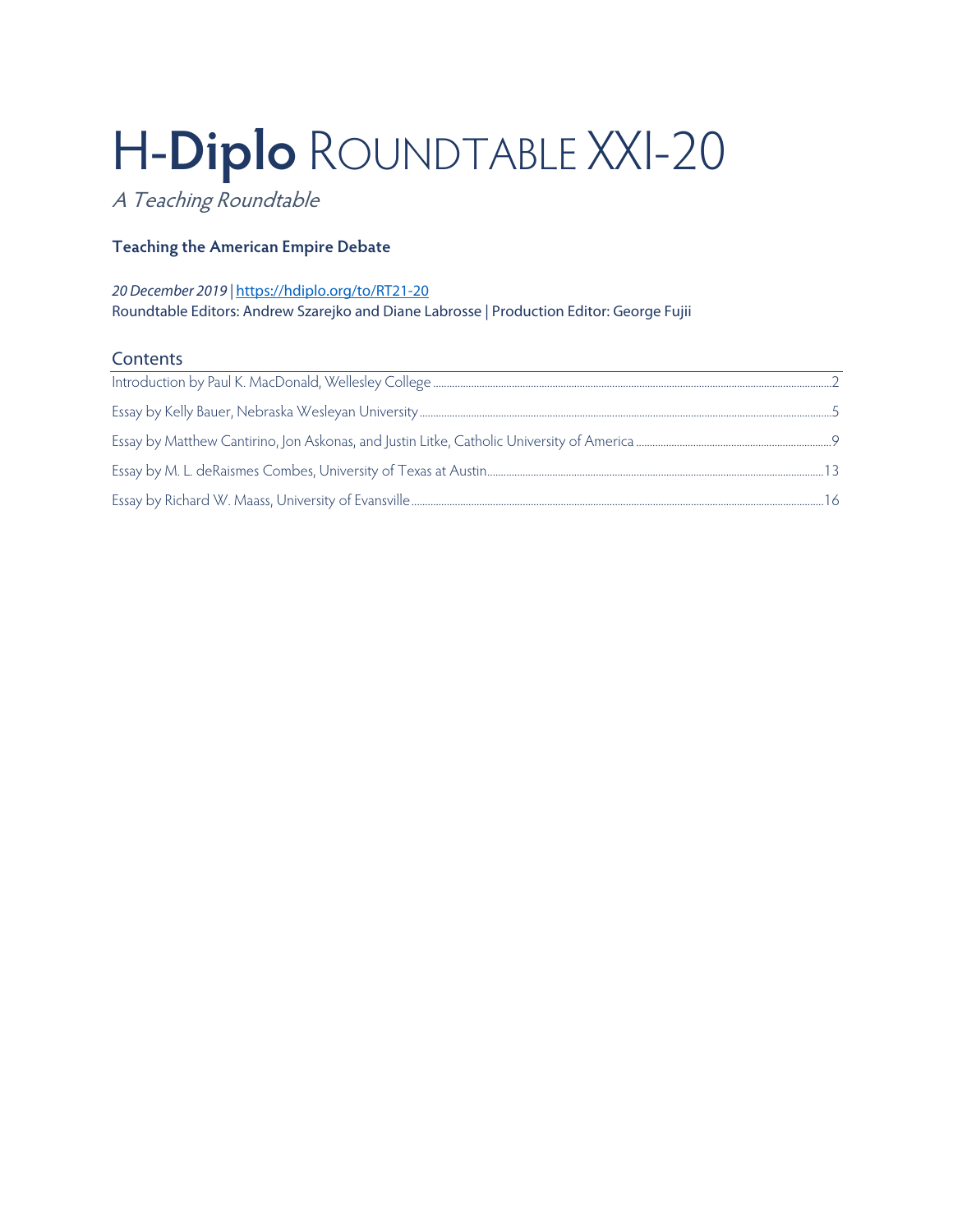# H-**Diplo** ROUNDTABLE XXI-20

A Teaching Roundtable

# **Teaching the American Empire Debate**

### *20 December 2019 |* <https://hdiplo.org/to/RT21-20> Roundtable Editors: Andrew Szarejko and Diane Labrosse | Production Editor: George Fujii

## **Contents**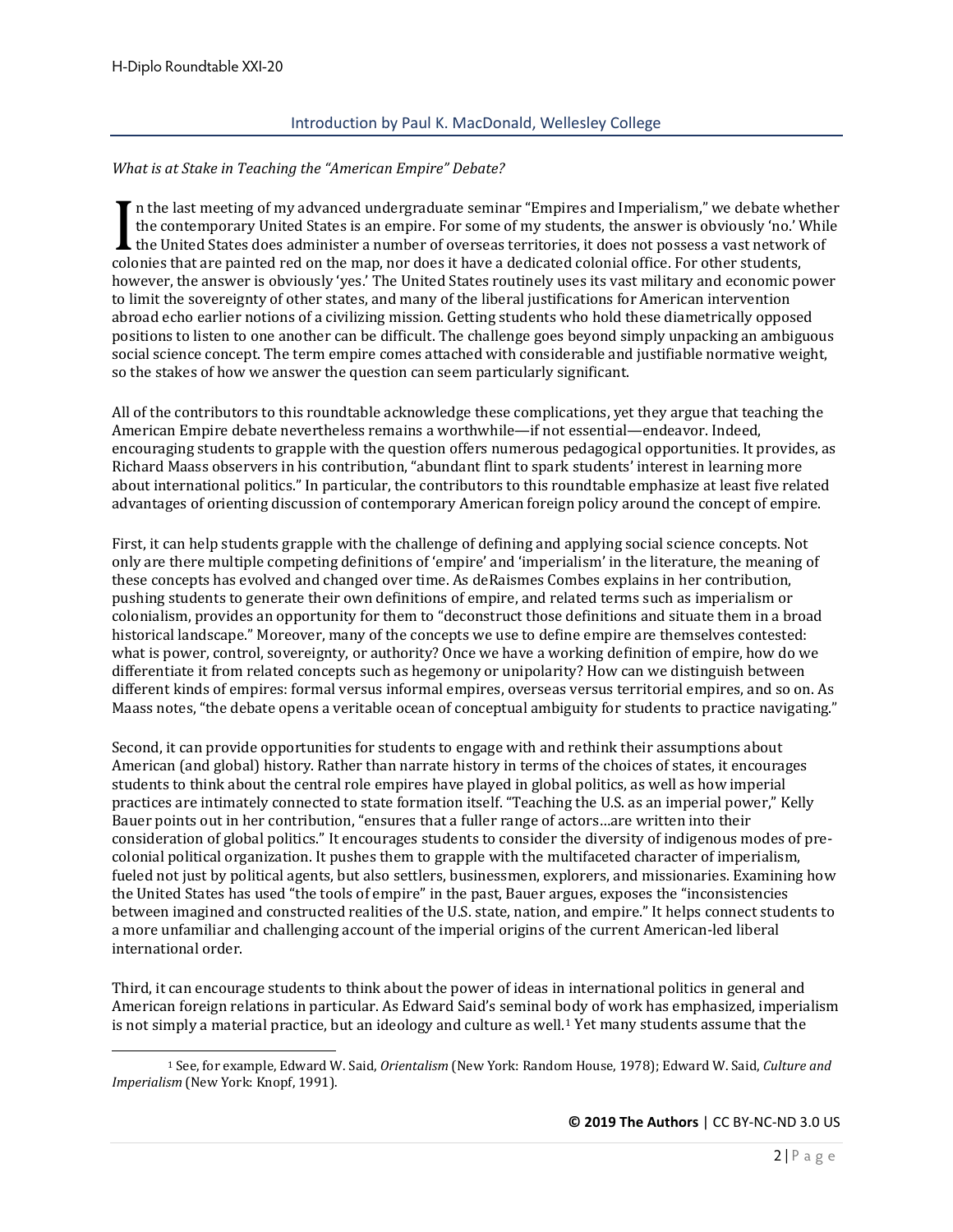#### Introduction by Paul K. MacDonald, Wellesley College

#### <span id="page-1-0"></span>*What is at Stake in Teaching the "American Empire" Debate?*

 $\blacksquare$  n the last meeting of my advanced undergraduate seminar "Empires and Imperialism," we debate whether the contemporary United States is an empire. For some of my students, the answer is obviously 'no.' While  $\sf L$  the United States does administer a number of overseas territories, it does not possess a vast network of The last meeting of my advanced undergraduate seminar. Empires and imperialism, we debate with<br>the contemporary United States is an empire. For some of my students, the answer is obviously 'no.' V<br>colonies that are painted however, the answer is obviously 'yes.' The United States routinely uses its vast military and economic power to limit the sovereignty of other states, and many of the liberal justifications for American intervention abroad echo earlier notions of a civilizing mission. Getting students who hold these diametrically opposed positions to listen to one another can be difficult. The challenge goes beyond simply unpacking an ambiguous social science concept. The term empire comes attached with considerable and justifiable normative weight, so the stakes of how we answer the question can seem particularly significant.

All of the contributors to this roundtable acknowledge these complications, yet they argue that teaching the American Empire debate nevertheless remains a worthwhile—if not essential—endeavor. Indeed, encouraging students to grapple with the question offers numerous pedagogical opportunities. It provides, as Richard Maass observers in his contribution, "abundant flint to spark students' interest in learning more about international politics." In particular, the contributors to this roundtable emphasize at least five related advantages of orienting discussion of contemporary American foreign policy around the concept of empire.

First, it can help students grapple with the challenge of defining and applying social science concepts. Not only are there multiple competing definitions of 'empire' and 'imperialism' in the literature, the meaning of these concepts has evolved and changed over time. As deRaismes Combes explains in her contribution, pushing students to generate their own definitions of empire, and related terms such as imperialism or colonialism, provides an opportunity for them to "deconstruct those definitions and situate them in a broad historical landscape." Moreover, many of the concepts we use to define empire are themselves contested: what is power, control, sovereignty, or authority? Once we have a working definition of empire, how do we differentiate it from related concepts such as hegemony or unipolarity? How can we distinguish between different kinds of empires: formal versus informal empires, overseas versus territorial empires, and so on. As Maass notes, "the debate opens a veritable ocean of conceptual ambiguity for students to practice navigating."

Second, it can provide opportunities for students to engage with and rethink their assumptions about American (and global) history. Rather than narrate history in terms of the choices of states, it encourages students to think about the central role empires have played in global politics, as well as how imperial practices are intimately connected to state formation itself. "Teaching the U.S. as an imperial power," Kelly Bauer points out in her contribution, "ensures that a fuller range of actors…are written into their consideration of global politics." It encourages students to consider the diversity of indigenous modes of precolonial political organization. It pushes them to grapple with the multifaceted character of imperialism, fueled not just by political agents, but also settlers, businessmen, explorers, and missionaries. Examining how the United States has used "the tools of empire" in the past, Bauer argues, exposes the "inconsistencies between imagined and constructed realities of the U.S. state, nation, and empire." It helps connect students to a more unfamiliar and challenging account of the imperial origins of the current American-led liberal international order.

Third, it can encourage students to think about the power of ideas in international politics in general and American foreign relations in particular. As Edward Said's seminal body of work has emphasized, imperialism is not simply a material practice, but an ideology and culture as well.<sup>[1](#page-1-1)</sup> Yet many students assume that the

<span id="page-1-1"></span><sup>1</sup> See, for example, Edward W. Said, *Orientalism* (New York: Random House, 1978); Edward W. Said, *Culture and Imperialism* (New York: Knopf, 1991).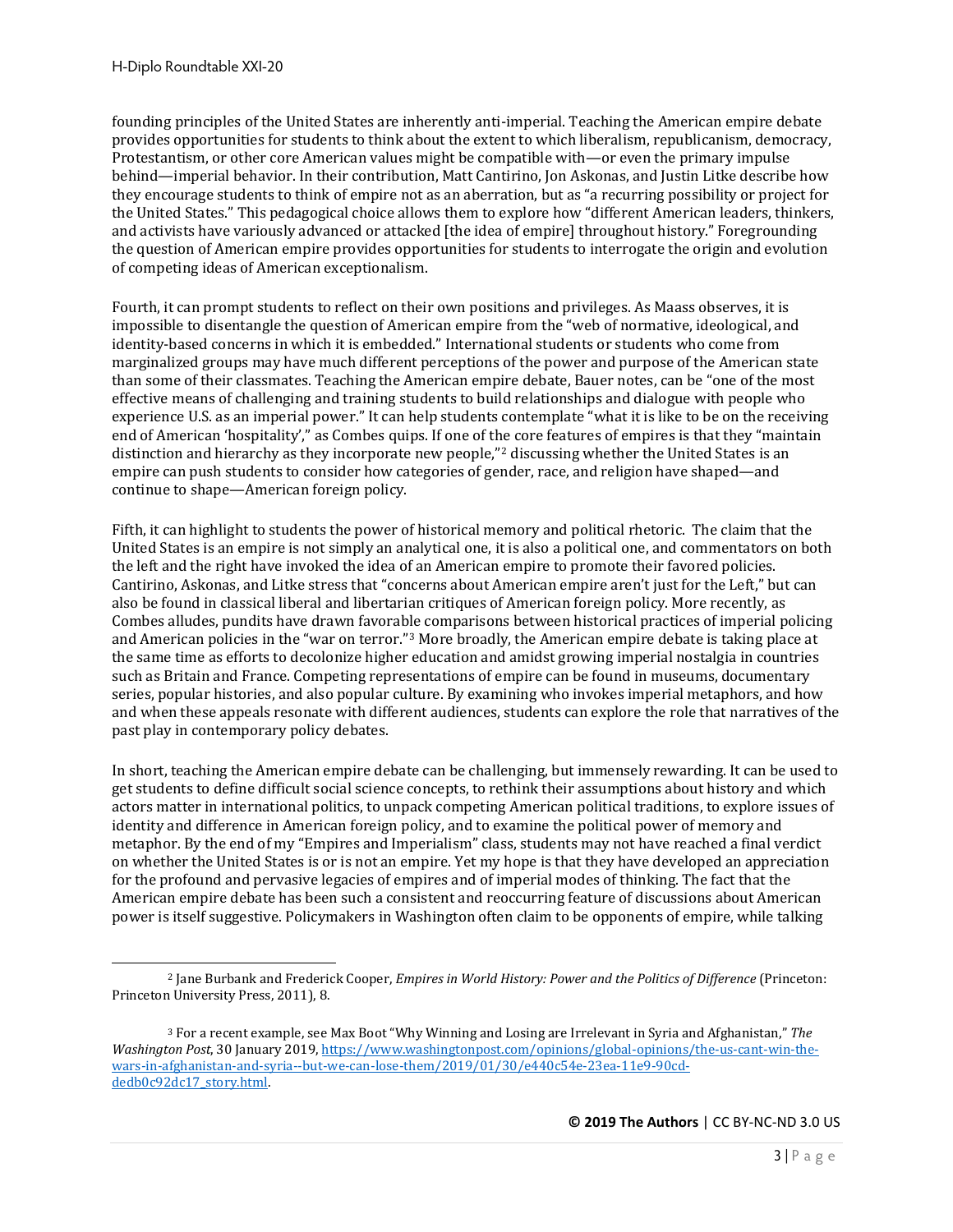founding principles of the United States are inherently anti-imperial. Teaching the American empire debate provides opportunities for students to think about the extent to which liberalism, republicanism, democracy, Protestantism, or other core American values might be compatible with—or even the primary impulse behind—imperial behavior. In their contribution, Matt Cantirino, Jon Askonas, and Justin Litke describe how they encourage students to think of empire not as an aberration, but as "a recurring possibility or project for the United States." This pedagogical choice allows them to explore how "different American leaders, thinkers, and activists have variously advanced or attacked [the idea of empire] throughout history." Foregrounding the question of American empire provides opportunities for students to interrogate the origin and evolution of competing ideas of American exceptionalism.

Fourth, it can prompt students to reflect on their own positions and privileges. As Maass observes, it is impossible to disentangle the question of American empire from the "web of normative, ideological, and identity-based concerns in which it is embedded." International students or students who come from marginalized groups may have much different perceptions of the power and purpose of the American state than some of their classmates. Teaching the American empire debate, Bauer notes, can be "one of the most effective means of challenging and training students to build relationships and dialogue with people who experience U.S. as an imperial power." It can help students contemplate "what it is like to be on the receiving end of American 'hospitality'," as Combes quips. If one of the core features of empires is that they "maintain distinction and hierarchy as they incorporate new people,"<sup>[2](#page-2-0)</sup> discussing whether the United States is an empire can push students to consider how categories of gender, race, and religion have shaped—and continue to shape—American foreign policy.

Fifth, it can highlight to students the power of historical memory and political rhetoric. The claim that the United States is an empire is not simply an analytical one, it is also a political one, and commentators on both the left and the right have invoked the idea of an American empire to promote their favored policies. Cantirino, Askonas, and Litke stress that "concerns about American empire aren't just for the Left," but can also be found in classical liberal and libertarian critiques of American foreign policy. More recently, as Combes alludes, pundits have drawn favorable comparisons between historical practices of imperial policing and American policies in the "war on terror."[3](#page-2-1) More broadly, the American empire debate is taking place at the same time as efforts to decolonize higher education and amidst growing imperial nostalgia in countries such as Britain and France. Competing representations of empire can be found in museums, documentary series, popular histories, and also popular culture. By examining who invokes imperial metaphors, and how and when these appeals resonate with different audiences, students can explore the role that narratives of the past play in contemporary policy debates.

In short, teaching the American empire debate can be challenging, but immensely rewarding. It can be used to get students to define difficult social science concepts, to rethink their assumptions about history and which actors matter in international politics, to unpack competing American political traditions, to explore issues of identity and difference in American foreign policy, and to examine the political power of memory and metaphor. By the end of my "Empires and Imperialism" class, students may not have reached a final verdict on whether the United States is or is not an empire. Yet my hope is that they have developed an appreciation for the profound and pervasive legacies of empires and of imperial modes of thinking. The fact that the American empire debate has been such a consistent and reoccurring feature of discussions about American power is itself suggestive. Policymakers in Washington often claim to be opponents of empire, while talking

<span id="page-2-0"></span><sup>2</sup> Jane Burbank and Frederick Cooper, *Empires in World History: Power and the Politics of Difference* (Princeton: Princeton University Press, 2011), 8.

<span id="page-2-1"></span><sup>3</sup> For a recent example, see Max Boot "Why Winning and Losing are Irrelevant in Syria and Afghanistan," *The Washington Post*, 30 January 2019, [https://www.washingtonpost.com/opinions/global-opinions/the-us-cant-win-the](https://www.washingtonpost.com/opinions/global-opinions/the-us-cant-win-the-wars-in-afghanistan-and-syria--but-we-can-lose-them/2019/01/30/e440c54e-23ea-11e9-90cd-dedb0c92dc17_story.html)[wars-in-afghanistan-and-syria--but-we-can-lose-them/2019/01/30/e440c54e-23ea-11e9-90cd](https://www.washingtonpost.com/opinions/global-opinions/the-us-cant-win-the-wars-in-afghanistan-and-syria--but-we-can-lose-them/2019/01/30/e440c54e-23ea-11e9-90cd-dedb0c92dc17_story.html)[dedb0c92dc17\\_story.html.](https://www.washingtonpost.com/opinions/global-opinions/the-us-cant-win-the-wars-in-afghanistan-and-syria--but-we-can-lose-them/2019/01/30/e440c54e-23ea-11e9-90cd-dedb0c92dc17_story.html)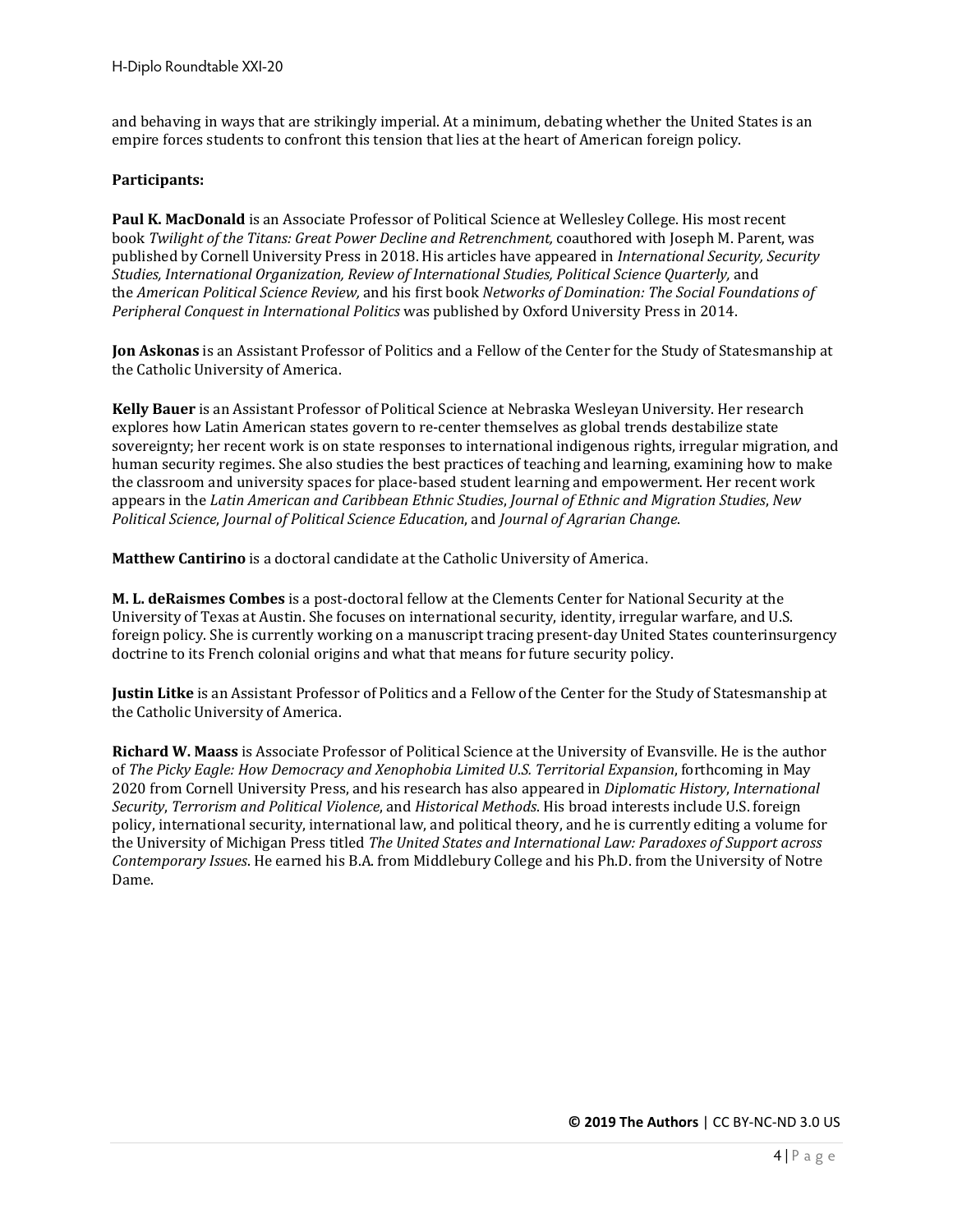and behaving in ways that are strikingly imperial. At a minimum, debating whether the United States is an empire forces students to confront this tension that lies at the heart of American foreign policy.

#### **Participants:**

**Paul K. MacDonald** is an Associate Professor of Political Science at Wellesley College. His most recent book *Twilight of the Titans: Great Power Decline and Retrenchment,* coauthored with Joseph M. Parent, was published by Cornell University Press in 2018. His articles have appeared in *International Security, Security Studies, International Organization, Review of International Studies, Political Science Quarterly,* and the *American Political Science Review,* and his first book *Networks of Domination: The Social Foundations of Peripheral Conquest in International Politics* was published by Oxford University Press in 2014.

**Jon Askonas** is an Assistant Professor of Politics and a Fellow of the Center for the Study of Statesmanship at the Catholic University of America.

**Kelly Bauer** is an Assistant Professor of Political Science at Nebraska Wesleyan University. Her research explores how Latin American states govern to re-center themselves as global trends destabilize state sovereignty; her recent work is on state responses to international indigenous rights, irregular migration, and human security regimes. She also studies the best practices of teaching and learning, examining how to make the classroom and university spaces for place-based student learning and empowerment. Her recent work appears in the *Latin American and Caribbean Ethnic Studies*, *Journal of Ethnic and Migration Studies*, *New Political Science*, *Journal of Political Science Education*, and *Journal of Agrarian Change*.

**Matthew Cantirino** is a doctoral candidate at the Catholic University of America.

**M. L. deRaismes Combes** is a post-doctoral fellow at the Clements Center for National Security at the University of Texas at Austin. She focuses on international security, identity, irregular warfare, and U.S. foreign policy. She is currently working on a manuscript tracing present-day United States counterinsurgency doctrine to its French colonial origins and what that means for future security policy.

**Justin Litke** is an Assistant Professor of Politics and a Fellow of the Center for the Study of Statesmanship at the Catholic University of America.

**Richard W. Maass** is Associate Professor of Political Science at the University of Evansville. He is the author of *The Picky Eagle: How Democracy and Xenophobia Limited U.S. Territorial Expansion*, forthcoming in May 2020 from Cornell University Press, and his research has also appeared in *Diplomatic History*, *International Security*, *Terrorism and Political Violence*, and *Historical Methods*. His broad interests include U.S. foreign policy, international security, international law, and political theory, and he is currently editing a volume for the University of Michigan Press titled *The United States and International Law: Paradoxes of Support across Contemporary Issues*. He earned his B.A. from Middlebury College and his Ph.D. from the University of Notre Dame.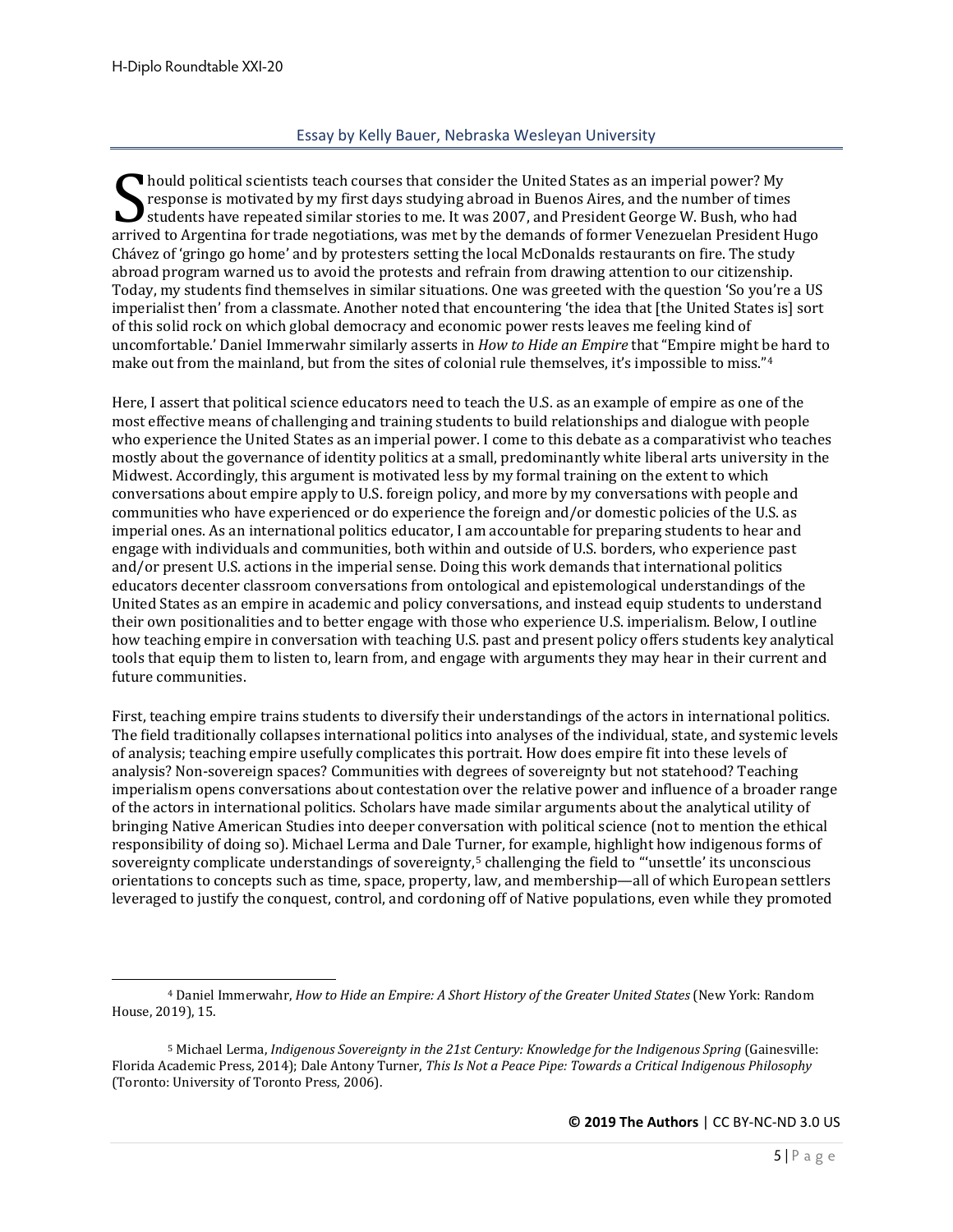#### Essay by Kelly Bauer, Nebraska Wesleyan University

<span id="page-4-0"></span>hould political scientists teach courses that consider the United States as an imperial power? My response is motivated by my first days studying abroad in Buenos Aires, and the number of times students have repeated similar stories to me. It was 2007, and President George W. Bush, who had arrived to Argentina for trade negotiations, was met by the demands of former Venezuelan President Hugo Chávez of 'gringo go home' and by protesters setting the local McDonalds restaurants on fire. The study abroad program warned us to avoid the protests and refrain from drawing attention to our citizenship. Today, my students find themselves in similar situations. One was greeted with the question 'So you're a US imperialist then' from a classmate. Another noted that encountering 'the idea that [the United States is] sort of this solid rock on which global democracy and economic power rests leaves me feeling kind of uncomfortable.' Daniel Immerwahr similarly asserts in *How to Hide an Empire* that "Empire might be hard to make out from the mainland, but from the sites of colonial rule themselves, it's impossible to miss."<sup>[4](#page-4-1)</sup> Sarrive

Here, I assert that political science educators need to teach the U.S. as an example of empire as one of the most effective means of challenging and training students to build relationships and dialogue with people who experience the United States as an imperial power. I come to this debate as a comparativist who teaches mostly about the governance of identity politics at a small, predominantly white liberal arts university in the Midwest. Accordingly, this argument is motivated less by my formal training on the extent to which conversations about empire apply to U.S. foreign policy, and more by my conversations with people and communities who have experienced or do experience the foreign and/or domestic policies of the U.S. as imperial ones. As an international politics educator, I am accountable for preparing students to hear and engage with individuals and communities, both within and outside of U.S. borders, who experience past and/or present U.S. actions in the imperial sense. Doing this work demands that international politics educators decenter classroom conversations from ontological and epistemological understandings of the United States as an empire in academic and policy conversations, and instead equip students to understand their own positionalities and to better engage with those who experience U.S. imperialism. Below, I outline how teaching empire in conversation with teaching U.S. past and present policy offers students key analytical tools that equip them to listen to, learn from, and engage with arguments they may hear in their current and future communities.

First, teaching empire trains students to diversify their understandings of the actors in international politics. The field traditionally collapses international politics into analyses of the individual, state, and systemic levels of analysis; teaching empire usefully complicates this portrait. How does empire fit into these levels of analysis? Non-sovereign spaces? Communities with degrees of sovereignty but not statehood? Teaching imperialism opens conversations about contestation over the relative power and influence of a broader range of the actors in international politics. Scholars have made similar arguments about the analytical utility of bringing Native American Studies into deeper conversation with political science (not to mention the ethical responsibility of doing so). Michael Lerma and Dale Turner, for example, highlight how indigenous forms of sovereignty complicate understandings of sovereignty,<sup>[5](#page-4-2)</sup> challenging the field to "'unsettle' its unconscious orientations to concepts such as time, space, property, law, and membership—all of which European settlers leveraged to justify the conquest, control, and cordoning off of Native populations, even while they promoted

<span id="page-4-1"></span><sup>4</sup> Daniel Immerwahr, *How to Hide an Empire: A Short History of the Greater United States* (New York: Random House, 2019), 15.

<span id="page-4-2"></span><sup>5</sup> Michael Lerma, *Indigenous Sovereignty in the 21st Century: Knowledge for the Indigenous Spring* (Gainesville: Florida Academic Press, 2014); Dale Antony Turner, *This Is Not a Peace Pipe: Towards a Critical Indigenous Philosophy* (Toronto: University of Toronto Press, 2006).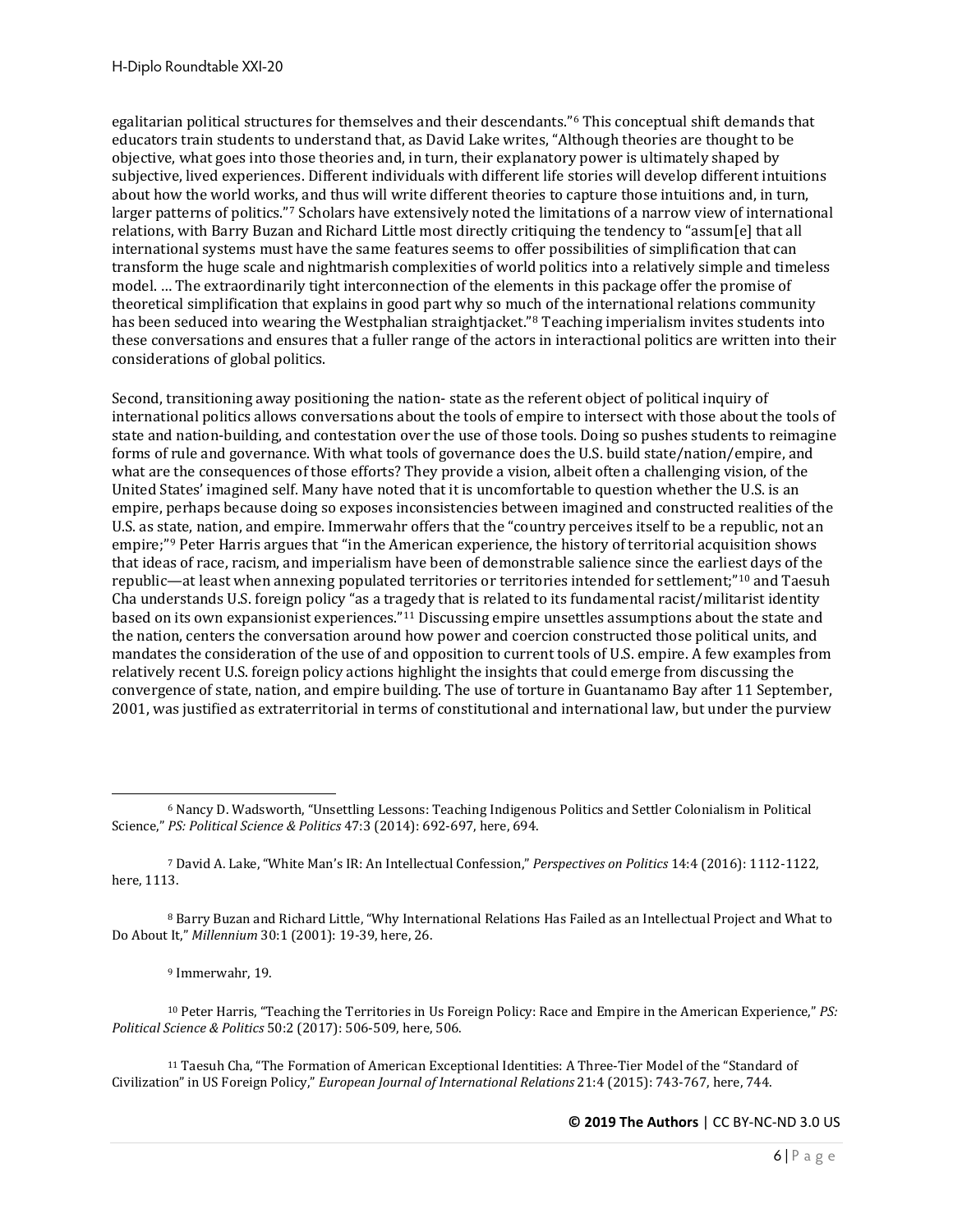egalitarian political structures for themselves and their descendants."[6](#page-5-0) This conceptual shift demands that educators train students to understand that, as David Lake writes, "Although theories are thought to be objective, what goes into those theories and, in turn, their explanatory power is ultimately shaped by subjective, lived experiences. Different individuals with different life stories will develop different intuitions about how the world works, and thus will write different theories to capture those intuitions and, in turn, larger patterns of politics."[7](#page-5-1) Scholars have extensively noted the limitations of a narrow view of international relations, with Barry Buzan and Richard Little most directly critiquing the tendency to "assum[e] that all international systems must have the same features seems to offer possibilities of simplification that can transform the huge scale and nightmarish complexities of world politics into a relatively simple and timeless model. … The extraordinarily tight interconnection of the elements in this package offer the promise of theoretical simplification that explains in good part why so much of the international relations community has been seduced into wearing the Westphalian straightjacket."<sup>[8](#page-5-2)</sup> Teaching imperialism invites students into these conversations and ensures that a fuller range of the actors in interactional politics are written into their considerations of global politics.

Second, transitioning away positioning the nation- state as the referent object of political inquiry of international politics allows conversations about the tools of empire to intersect with those about the tools of state and nation-building, and contestation over the use of those tools. Doing so pushes students to reimagine forms of rule and governance. With what tools of governance does the U.S. build state/nation/empire, and what are the consequences of those efforts? They provide a vision, albeit often a challenging vision, of the United States' imagined self. Many have noted that it is uncomfortable to question whether the U.S. is an empire, perhaps because doing so exposes inconsistencies between imagined and constructed realities of the U.S. as state, nation, and empire. Immerwahr offers that the "country perceives itself to be a republic, not an empire;"[9](#page-5-3) Peter Harris argues that "in the American experience, the history of territorial acquisition shows that ideas of race, racism, and imperialism have been of demonstrable salience since the earliest days of the republic—at least when annexing populated territories or territories intended for settlement;"[10](#page-5-4) and Taesuh Cha understands U.S. foreign policy "as a tragedy that is related to its fundamental racist/militarist identity based on its own expansionist experiences."[11](#page-5-5) Discussing empire unsettles assumptions about the state and the nation, centers the conversation around how power and coercion constructed those political units, and mandates the consideration of the use of and opposition to current tools of U.S. empire. A few examples from relatively recent U.S. foreign policy actions highlight the insights that could emerge from discussing the convergence of state, nation, and empire building. The use of torture in Guantanamo Bay after 11 September, 2001, was justified as extraterritorial in terms of constitutional and international law, but under the purview

<span id="page-5-1"></span><sup>7</sup> David A. Lake, "White Man's IR: An Intellectual Confession," *Perspectives on Politics* 14:4 (2016): 1112-1122, here, 1113.

<span id="page-5-2"></span><sup>8</sup> Barry Buzan and Richard Little, "Why International Relations Has Failed as an Intellectual Project and What to Do About It," *Millennium* 30:1 (2001): 19-39, here, 26.

<sup>9</sup> Immerwahr, 19.

<span id="page-5-4"></span><span id="page-5-3"></span><sup>10</sup> Peter Harris, "Teaching the Territories in Us Foreign Policy: Race and Empire in the American Experience," *PS: Political Science & Politics* 50:2 (2017): 506-509, here, 506.

<span id="page-5-5"></span><sup>11</sup> Taesuh Cha, "The Formation of American Exceptional Identities: A Three-Tier Model of the "Standard of Civilization" in US Foreign Policy," *European Journal of International Relations* 21:4 (2015): 743-767, here, 744.

<span id="page-5-0"></span><sup>6</sup> Nancy D. Wadsworth, "Unsettling Lessons: Teaching Indigenous Politics and Settler Colonialism in Political Science," *PS: Political Science & Politics* 47:3 (2014): 692-697, here, 694.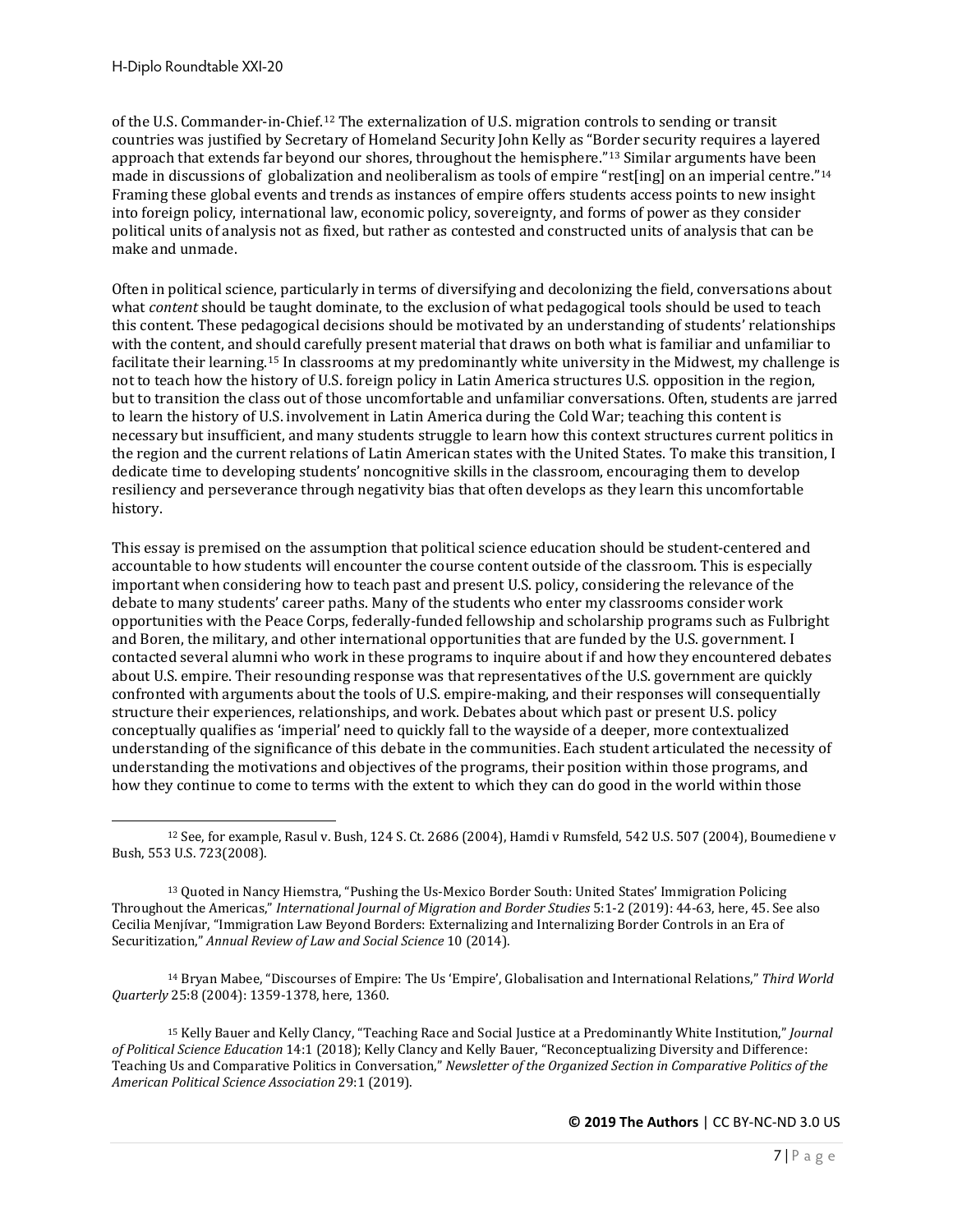of the U.S. Commander-in-Chief.[12](#page-6-0) The externalization of U.S. migration controls to sending or transit countries was justified by Secretary of Homeland Security John Kelly as "Border security requires a layered approach that extends far beyond our shores, throughout the hemisphere."[13](#page-6-1) Similar arguments have been made in discussions of globalization and neoliberalism as tools of empire "rest[ing] on an imperial centre."[14](#page-6-2) Framing these global events and trends as instances of empire offers students access points to new insight into foreign policy, international law, economic policy, sovereignty, and forms of power as they consider political units of analysis not as fixed, but rather as contested and constructed units of analysis that can be make and unmade.

Often in political science, particularly in terms of diversifying and decolonizing the field, conversations about what *content* should be taught dominate, to the exclusion of what pedagogical tools should be used to teach this content. These pedagogical decisions should be motivated by an understanding of students' relationships with the content, and should carefully present material that draws on both what is familiar and unfamiliar to facilitate their learning.[15](#page-6-3) In classrooms at my predominantly white university in the Midwest, my challenge is not to teach how the history of U.S. foreign policy in Latin America structures U.S. opposition in the region, but to transition the class out of those uncomfortable and unfamiliar conversations. Often, students are jarred to learn the history of U.S. involvement in Latin America during the Cold War; teaching this content is necessary but insufficient, and many students struggle to learn how this context structures current politics in the region and the current relations of Latin American states with the United States. To make this transition, I dedicate time to developing students' noncognitive skills in the classroom, encouraging them to develop resiliency and perseverance through negativity bias that often develops as they learn this uncomfortable history.

This essay is premised on the assumption that political science education should be student-centered and accountable to how students will encounter the course content outside of the classroom. This is especially important when considering how to teach past and present U.S. policy, considering the relevance of the debate to many students' career paths. Many of the students who enter my classrooms consider work opportunities with the Peace Corps, federally-funded fellowship and scholarship programs such as Fulbright and Boren, the military, and other international opportunities that are funded by the U.S. government. I contacted several alumni who work in these programs to inquire about if and how they encountered debates about U.S. empire. Their resounding response was that representatives of the U.S. government are quickly confronted with arguments about the tools of U.S. empire-making, and their responses will consequentially structure their experiences, relationships, and work. Debates about which past or present U.S. policy conceptually qualifies as 'imperial' need to quickly fall to the wayside of a deeper, more contextualized understanding of the significance of this debate in the communities. Each student articulated the necessity of understanding the motivations and objectives of the programs, their position within those programs, and how they continue to come to terms with the extent to which they can do good in the world within those

<span id="page-6-2"></span><sup>14</sup> Bryan Mabee, "Discourses of Empire: The Us 'Empire', Globalisation and International Relations," *Third World Quarterly* 25:8 (2004): 1359-1378, here, 1360.

<span id="page-6-3"></span><sup>15</sup> Kelly Bauer and Kelly Clancy, "Teaching Race and Social Justice at a Predominantly White Institution," *Journal of Political Science Education* 14:1 (2018); Kelly Clancy and Kelly Bauer, "Reconceptualizing Diversity and Difference: Teaching Us and Comparative Politics in Conversation," *Newsletter of the Organized Section in Comparative Politics of the American Political Science Association* 29:1 (2019).

<span id="page-6-0"></span><sup>12</sup> See, for example, Rasul v. Bush, 124 S. Ct. 2686 (2004), Hamdi v Rumsfeld, 542 U.S. 507 (2004), Boumediene v Bush, 553 U.S. 723(2008).

<span id="page-6-1"></span><sup>13</sup> Quoted in Nancy Hiemstra, "Pushing the Us-Mexico Border South: United States' Immigration Policing Throughout the Americas," *International Journal of Migration and Border Studies* 5:1-2 (2019): 44-63, here, 45. See also Cecilia Menjívar, "Immigration Law Beyond Borders: Externalizing and Internalizing Border Controls in an Era of Securitization," *Annual Review of Law and Social Science* 10 (2014).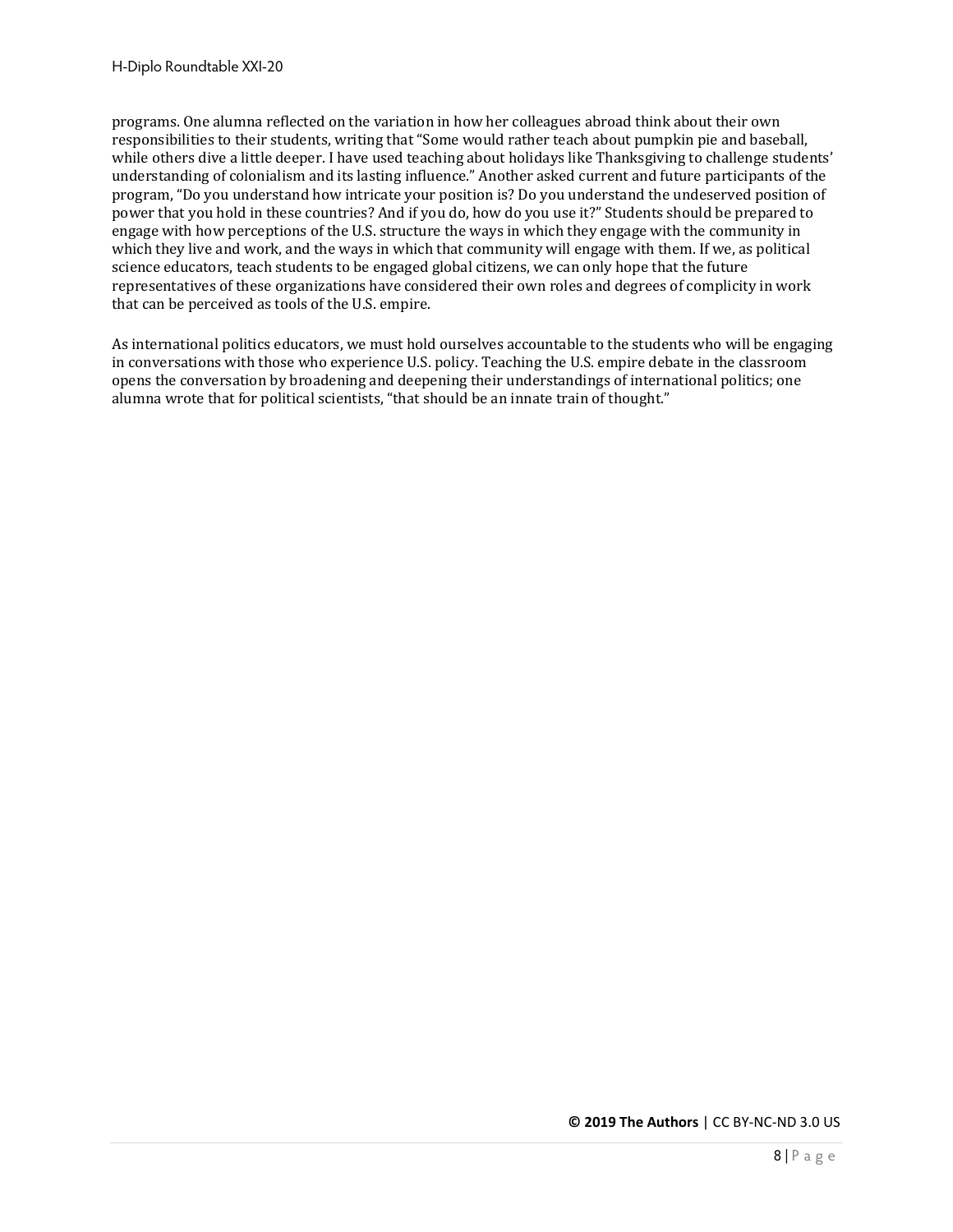programs. One alumna reflected on the variation in how her colleagues abroad think about their own responsibilities to their students, writing that "Some would rather teach about pumpkin pie and baseball, while others dive a little deeper. I have used teaching about holidays like Thanksgiving to challenge students' understanding of colonialism and its lasting influence." Another asked current and future participants of the program, "Do you understand how intricate your position is? Do you understand the undeserved position of power that you hold in these countries? And if you do, how do you use it?" Students should be prepared to engage with how perceptions of the U.S. structure the ways in which they engage with the community in which they live and work, and the ways in which that community will engage with them. If we, as political science educators, teach students to be engaged global citizens, we can only hope that the future representatives of these organizations have considered their own roles and degrees of complicity in work that can be perceived as tools of the U.S. empire.

As international politics educators, we must hold ourselves accountable to the students who will be engaging in conversations with those who experience U.S. policy. Teaching the U.S. empire debate in the classroom opens the conversation by broadening and deepening their understandings of international politics; one alumna wrote that for political scientists, "that should be an innate train of thought."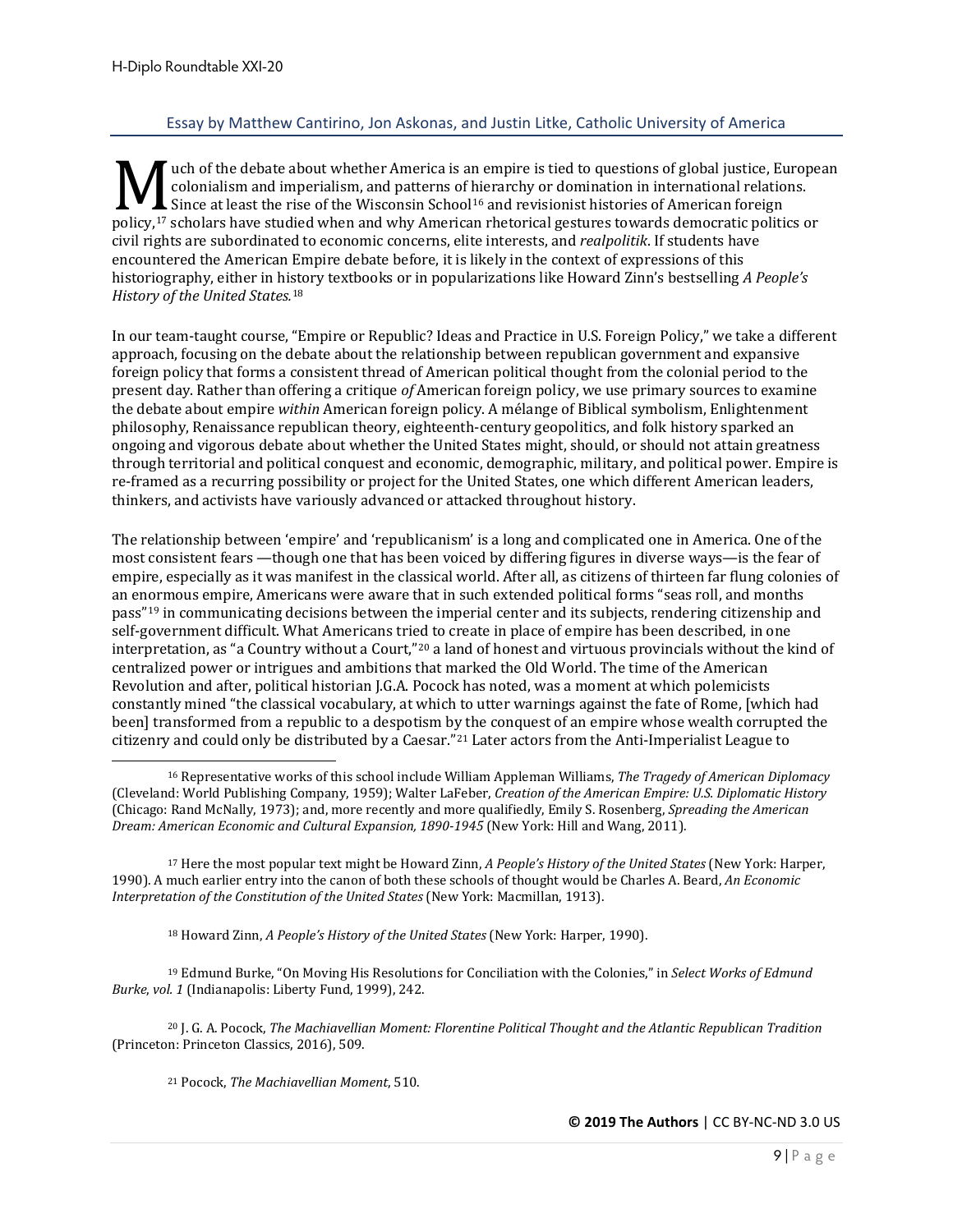#### Essay by Matthew Cantirino, Jon Askonas, and Justin Litke, Catholic University of America

<span id="page-8-0"></span>uch of the debate about whether America is an empire is tied to questions of global justice, European colonialism and imperialism, and patterns of hierarchy or domination in international relations. Since at least the rise of the Wisconsin School<sup>[16](#page-8-1)</sup> and revisionist histories of American foreign policy,<sup>17</sup> scholars have studied when and why American rhetorical gestures of American foreign<br>policy,<sup>17</sup> scholars have studied when and why American rhetorical gestures towards democratic politics or<br>civil rights are su civil rights are subordinated to economic concerns, elite interests, and *realpolitik*. If students have encountered the American Empire debate before, it is likely in the context of expressions of this historiography, either in history textbooks or in popularizations like Howard Zinn's bestselling *A People's History of the United States.*[18](#page-8-3)

In our team-taught course, "Empire or Republic? Ideas and Practice in U.S. Foreign Policy," we take a different approach, focusing on the debate about the relationship between republican government and expansive foreign policy that forms a consistent thread of American political thought from the colonial period to the present day. Rather than offering a critique *of* American foreign policy, we use primary sources to examine the debate about empire *within* American foreign policy. A mélange of Biblical symbolism, Enlightenment philosophy, Renaissance republican theory, eighteenth-century geopolitics, and folk history sparked an ongoing and vigorous debate about whether the United States might, should, or should not attain greatness through territorial and political conquest and economic, demographic, military, and political power. Empire is re-framed as a recurring possibility or project for the United States, one which different American leaders, thinkers, and activists have variously advanced or attacked throughout history.

The relationship between 'empire' and 'republicanism' is a long and complicated one in America. One of the most consistent fears —though one that has been voiced by differing figures in diverse ways—is the fear of empire, especially as it was manifest in the classical world. After all, as citizens of thirteen far flung colonies of an enormous empire, Americans were aware that in such extended political forms "seas roll, and months pass"[19](#page-8-4) in communicating decisions between the imperial center and its subjects, rendering citizenship and self-government difficult. What Americans tried to create in place of empire has been described, in one interpretation, as "a Country without a Court,"[20](#page-8-5) a land of honest and virtuous provincials without the kind of centralized power or intrigues and ambitions that marked the Old World. The time of the American Revolution and after, political historian J.G.A. Pocock has noted, was a moment at which polemicists constantly mined "the classical vocabulary, at which to utter warnings against the fate of Rome, [which had been] transformed from a republic to a despotism by the conquest of an empire whose wealth corrupted the citizenry and could only be distributed by a Caesar."[21](#page-8-6) Later actors from the Anti-Imperialist League to

<span id="page-8-2"></span><sup>17</sup> Here the most popular text might be Howard Zinn, *A People's History of the United States* (New York: Harper, 1990). A much earlier entry into the canon of both these schools of thought would be Charles A. Beard, *An Economic Interpretation of the Constitution of the United States* (New York: Macmillan, 1913).

<sup>18</sup> Howard Zinn, *A People's History of the United States* (New York: Harper, 1990).

<span id="page-8-4"></span><span id="page-8-3"></span><sup>19</sup> Edmund Burke, "On Moving His Resolutions for Conciliation with the Colonies," in *Select Works of Edmund Burke*, *vol. 1* (Indianapolis: Liberty Fund, 1999), 242.

<span id="page-8-6"></span><span id="page-8-5"></span><sup>20</sup> J. G. A. Pocock, *The Machiavellian Moment: Florentine Political Thought and the Atlantic Republican Tradition* (Princeton: Princeton Classics, 2016), 509.

<sup>21</sup> Pocock, *The Machiavellian Moment*, 510.

<span id="page-8-1"></span><sup>16</sup> Representative works of this school include William Appleman Williams, *The Tragedy of American Diplomacy*  (Cleveland: World Publishing Company, 1959); Walter LaFeber, *Creation of the American Empire: U.S. Diplomatic History* (Chicago: Rand McNally, 1973); and, more recently and more qualifiedly, Emily S. Rosenberg, *Spreading the American Dream: American Economic and Cultural Expansion, 1890-1945* (New York: Hill and Wang, 2011).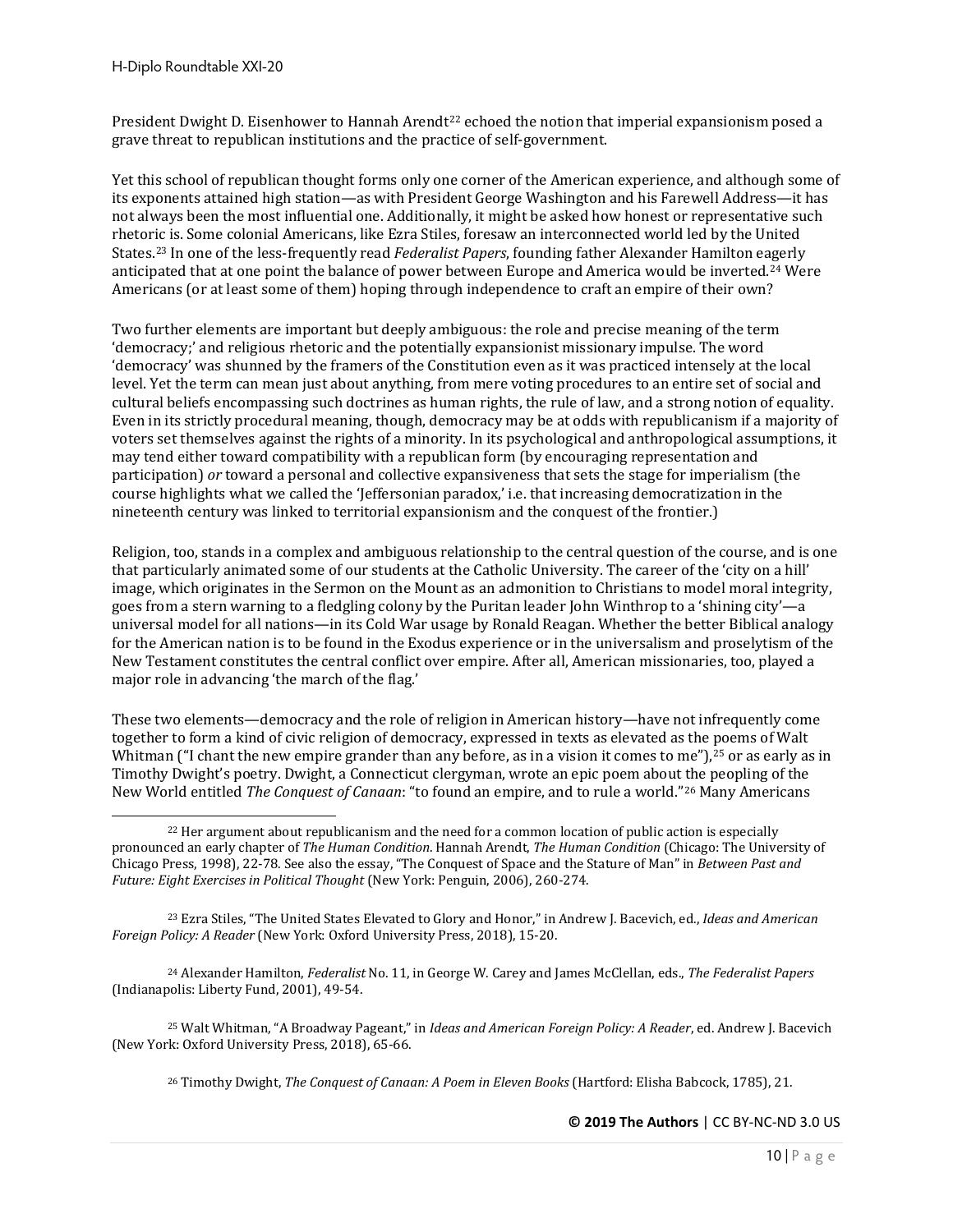President Dwight D. Eisenhower to Hannah Arendt<sup>[22](#page-9-0)</sup> echoed the notion that imperial expansionism posed a grave threat to republican institutions and the practice of self-government.

Yet this school of republican thought forms only one corner of the American experience, and although some of its exponents attained high station—as with President George Washington and his Farewell Address—it has not always been the most influential one. Additionally, it might be asked how honest or representative such rhetoric is. Some colonial Americans, like Ezra Stiles, foresaw an interconnected world led by the United States.[23](#page-9-1) In one of the less-frequently read *Federalist Papers*, founding father Alexander Hamilton eagerly anticipated that at one point the balance of power between Europe and America would be inverted.[24](#page-9-2) Were Americans (or at least some of them) hoping through independence to craft an empire of their own?

Two further elements are important but deeply ambiguous: the role and precise meaning of the term 'democracy;' and religious rhetoric and the potentially expansionist missionary impulse. The word 'democracy' was shunned by the framers of the Constitution even as it was practiced intensely at the local level. Yet the term can mean just about anything, from mere voting procedures to an entire set of social and cultural beliefs encompassing such doctrines as human rights, the rule of law, and a strong notion of equality. Even in its strictly procedural meaning, though, democracy may be at odds with republicanism if a majority of voters set themselves against the rights of a minority. In its psychological and anthropological assumptions, it may tend either toward compatibility with a republican form (by encouraging representation and participation) *or* toward a personal and collective expansiveness that sets the stage for imperialism (the course highlights what we called the 'Jeffersonian paradox,' i.e. that increasing democratization in the nineteenth century was linked to territorial expansionism and the conquest of the frontier.)

Religion, too, stands in a complex and ambiguous relationship to the central question of the course, and is one that particularly animated some of our students at the Catholic University. The career of the 'city on a hill' image, which originates in the Sermon on the Mount as an admonition to Christians to model moral integrity, goes from a stern warning to a fledgling colony by the Puritan leader John Winthrop to a 'shining city'—a universal model for all nations—in its Cold War usage by Ronald Reagan. Whether the better Biblical analogy for the American nation is to be found in the Exodus experience or in the universalism and proselytism of the New Testament constitutes the central conflict over empire. After all, American missionaries, too, played a major role in advancing 'the march of the flag.'

These two elements—democracy and the role of religion in American history—have not infrequently come together to form a kind of civic religion of democracy, expressed in texts as elevated as the poems of Walt Whitman ("I chant the new empire grander than any before, as in a vision it comes to me"),<sup>[25](#page-9-3)</sup> or as early as in Timothy Dwight's poetry. Dwight, a Connecticut clergyman, wrote an epic poem about the peopling of the New World entitled *The Conquest of Canaan*: "to found an empire, and to rule a world."[26](#page-9-4) Many Americans

<span id="page-9-2"></span><sup>24</sup> Alexander Hamilton, *Federalist* No. 11, in George W. Carey and James McClellan, eds., *The Federalist Papers* (Indianapolis: Liberty Fund, 2001), 49-54.

<span id="page-9-4"></span><span id="page-9-3"></span><sup>25</sup> Walt Whitman, "A Broadway Pageant," in *Ideas and American Foreign Policy: A Reader*, ed. Andrew J. Bacevich (New York: Oxford University Press, 2018), 65-66.

<sup>26</sup> Timothy Dwight, *The Conquest of Canaan: A Poem in Eleven Books* (Hartford: Elisha Babcock, 1785), 21.

<span id="page-9-0"></span><sup>22</sup> Her argument about republicanism and the need for a common location of public action is especially pronounced an early chapter of *The Human Condition*. Hannah Arendt, *The Human Condition* (Chicago: The University of Chicago Press, 1998), 22-78. See also the essay, "The Conquest of Space and the Stature of Man" in *Between Past and Future: Eight Exercises in Political Thought* (New York: Penguin, 2006), 260-274.

<span id="page-9-1"></span><sup>23</sup> Ezra Stiles, "The United States Elevated to Glory and Honor," in Andrew J. Bacevich, ed., *Ideas and American Foreign Policy: A Reader* (New York: Oxford University Press, 2018), 15-20.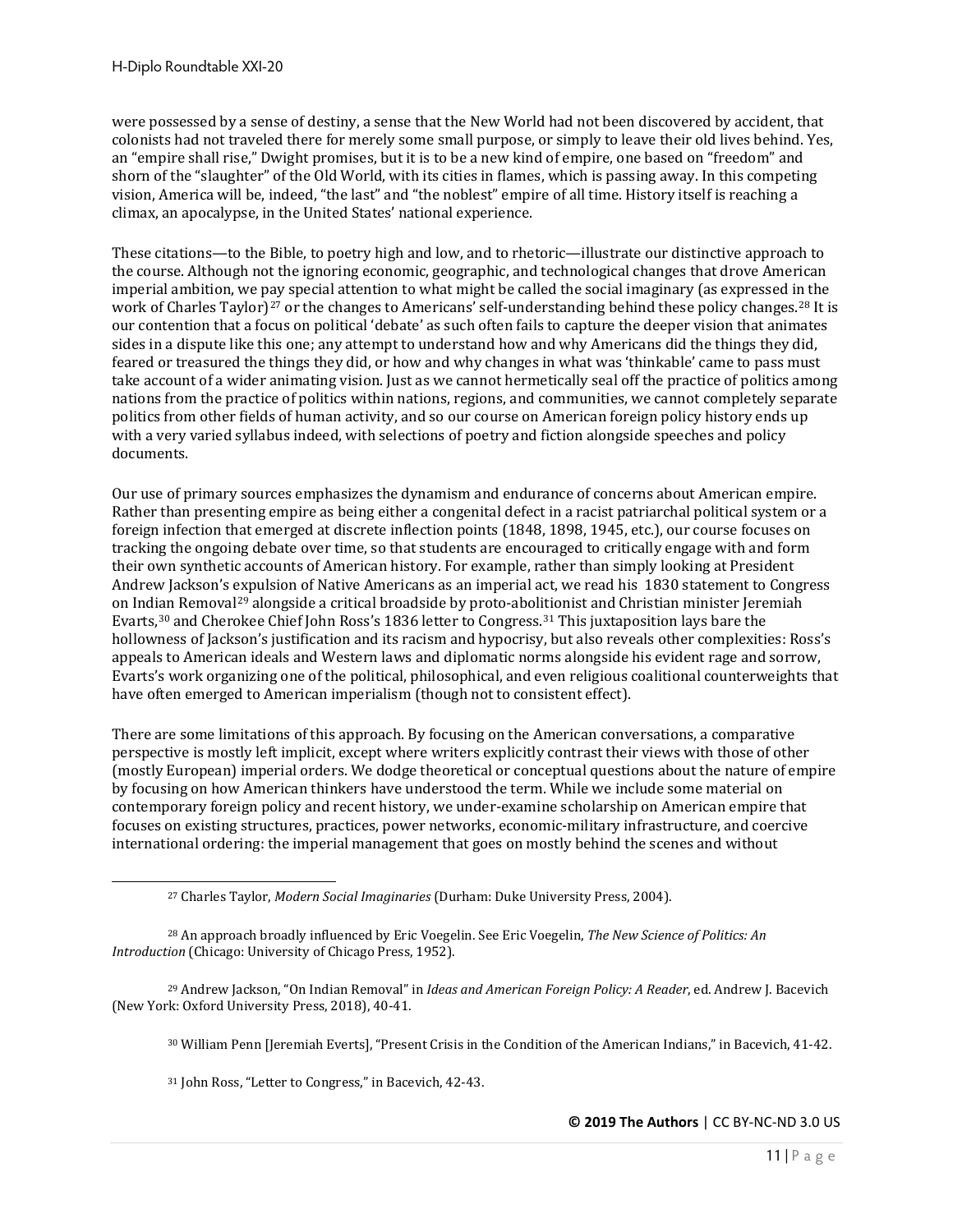were possessed by a sense of destiny, a sense that the New World had not been discovered by accident, that colonists had not traveled there for merely some small purpose, or simply to leave their old lives behind. Yes, an "empire shall rise," Dwight promises, but it is to be a new kind of empire, one based on "freedom" and shorn of the "slaughter" of the Old World, with its cities in flames, which is passing away. In this competing vision, America will be, indeed, "the last" and "the noblest" empire of all time. History itself is reaching a climax, an apocalypse, in the United States' national experience.

These citations—to the Bible, to poetry high and low, and to rhetoric—illustrate our distinctive approach to the course. Although not the ignoring economic, geographic, and technological changes that drove American imperial ambition, we pay special attention to what might be called the social imaginary (as expressed in the work of Charles Taylor)<sup>[27](#page-10-0)</sup> or the changes to Americans' self-understanding behind these policy changes.<sup>[28](#page-10-1)</sup> It is our contention that a focus on political 'debate' as such often fails to capture the deeper vision that animates sides in a dispute like this one; any attempt to understand how and why Americans did the things they did, feared or treasured the things they did, or how and why changes in what was 'thinkable' came to pass must take account of a wider animating vision. Just as we cannot hermetically seal off the practice of politics among nations from the practice of politics within nations, regions, and communities, we cannot completely separate politics from other fields of human activity, and so our course on American foreign policy history ends up with a very varied syllabus indeed, with selections of poetry and fiction alongside speeches and policy documents.

Our use of primary sources emphasizes the dynamism and endurance of concerns about American empire. Rather than presenting empire as being either a congenital defect in a racist patriarchal political system or a foreign infection that emerged at discrete inflection points (1848, 1898, 1945, etc.), our course focuses on tracking the ongoing debate over time, so that students are encouraged to critically engage with and form their own synthetic accounts of American history. For example, rather than simply looking at President Andrew Jackson's expulsion of Native Americans as an imperial act, we read his 1830 statement to Congress on Indian Removal[29](#page-10-2) alongside a critical broadside by proto-abolitionist and Christian minister Jeremiah Evarts,[30](#page-10-3) and Cherokee Chief John Ross's 1836 letter to Congress.[31](#page-10-4) This juxtaposition lays bare the hollowness of Jackson's justification and its racism and hypocrisy, but also reveals other complexities: Ross's appeals to American ideals and Western laws and diplomatic norms alongside his evident rage and sorrow, Evarts's work organizing one of the political, philosophical, and even religious coalitional counterweights that have often emerged to American imperialism (though not to consistent effect).

There are some limitations of this approach. By focusing on the American conversations, a comparative perspective is mostly left implicit, except where writers explicitly contrast their views with those of other (mostly European) imperial orders. We dodge theoretical or conceptual questions about the nature of empire by focusing on how American thinkers have understood the term. While we include some material on contemporary foreign policy and recent history, we under-examine scholarship on American empire that focuses on existing structures, practices, power networks, economic-military infrastructure, and coercive international ordering: the imperial management that goes on mostly behind the scenes and without

<sup>31</sup> John Ross, "Letter to Congress," in Bacevich, 42-43.

<sup>27</sup> Charles Taylor, *Modern Social Imaginaries* (Durham: Duke University Press, 2004).

<span id="page-10-1"></span><span id="page-10-0"></span><sup>28</sup> An approach broadly influenced by Eric Voegelin. See Eric Voegelin, *The New Science of Politics: An Introduction* (Chicago: University of Chicago Press, 1952).

<span id="page-10-4"></span><span id="page-10-3"></span><span id="page-10-2"></span><sup>29</sup> Andrew Jackson, "On Indian Removal" in *Ideas and American Foreign Policy: A Reader*, ed. Andrew J. Bacevich (New York: Oxford University Press, 2018), 40-41.

<sup>30</sup> William Penn [Jeremiah Everts], "Present Crisis in the Condition of the American Indians," in Bacevich, 41-42.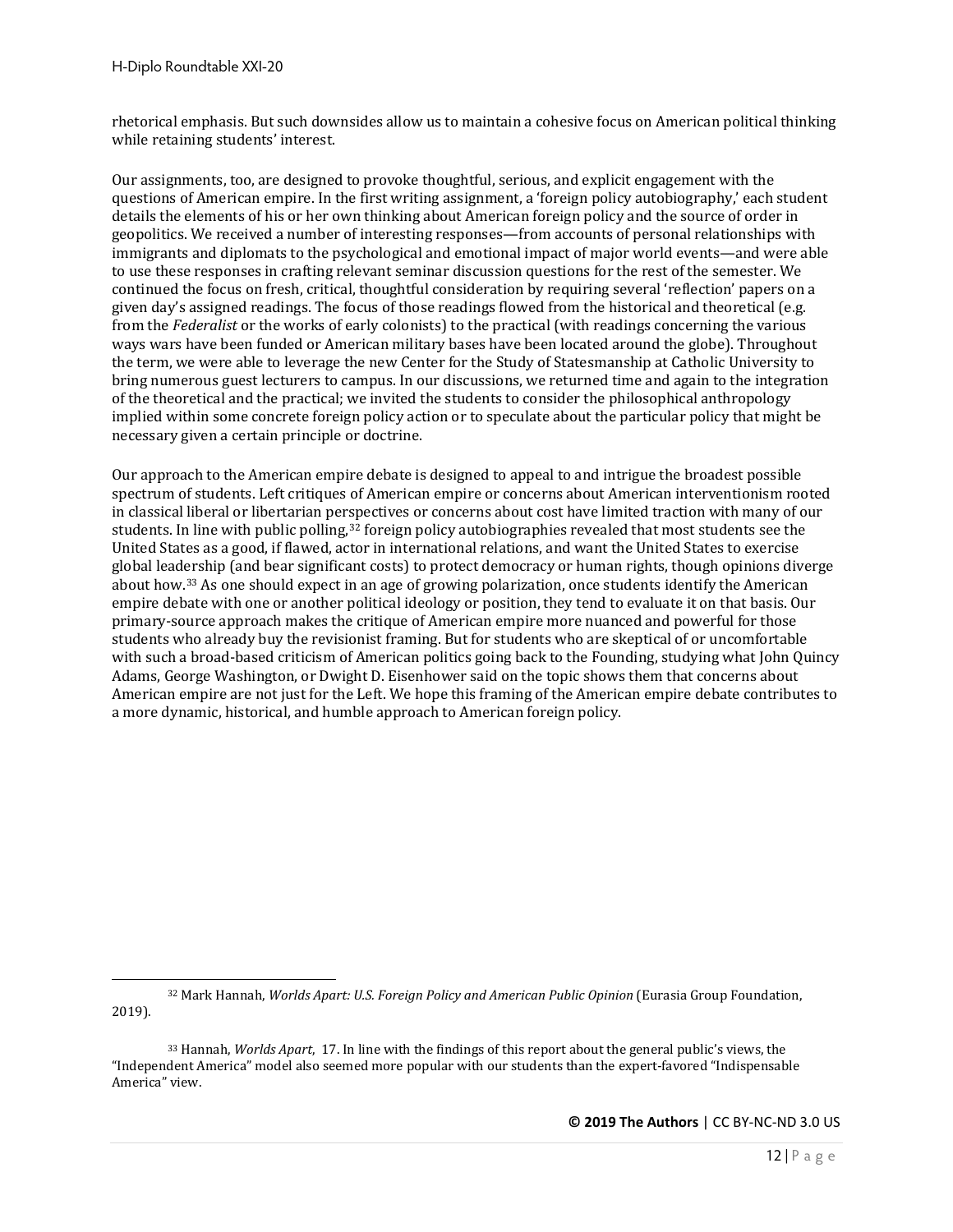rhetorical emphasis. But such downsides allow us to maintain a cohesive focus on American political thinking while retaining students' interest.

Our assignments, too, are designed to provoke thoughtful, serious, and explicit engagement with the questions of American empire. In the first writing assignment, a 'foreign policy autobiography,' each student details the elements of his or her own thinking about American foreign policy and the source of order in geopolitics. We received a number of interesting responses—from accounts of personal relationships with immigrants and diplomats to the psychological and emotional impact of major world events—and were able to use these responses in crafting relevant seminar discussion questions for the rest of the semester. We continued the focus on fresh, critical, thoughtful consideration by requiring several 'reflection' papers on a given day's assigned readings. The focus of those readings flowed from the historical and theoretical (e.g. from the *Federalist* or the works of early colonists) to the practical (with readings concerning the various ways wars have been funded or American military bases have been located around the globe). Throughout the term, we were able to leverage the new Center for the Study of Statesmanship at Catholic University to bring numerous guest lecturers to campus. In our discussions, we returned time and again to the integration of the theoretical and the practical; we invited the students to consider the philosophical anthropology implied within some concrete foreign policy action or to speculate about the particular policy that might be necessary given a certain principle or doctrine.

Our approach to the American empire debate is designed to appeal to and intrigue the broadest possible spectrum of students. Left critiques of American empire or concerns about American interventionism rooted in classical liberal or libertarian perspectives or concerns about cost have limited traction with many of our students. In line with public polling,<sup>[32](#page-11-0)</sup> foreign policy autobiographies revealed that most students see the United States as a good, if flawed, actor in international relations, and want the United States to exercise global leadership (and bear significant costs) to protect democracy or human rights, though opinions diverge about how.[33](#page-11-1) As one should expect in an age of growing polarization, once students identify the American empire debate with one or another political ideology or position, they tend to evaluate it on that basis. Our primary-source approach makes the critique of American empire more nuanced and powerful for those students who already buy the revisionist framing. But for students who are skeptical of or uncomfortable with such a broad-based criticism of American politics going back to the Founding, studying what John Quincy Adams, George Washington, or Dwight D. Eisenhower said on the topic shows them that concerns about American empire are not just for the Left. We hope this framing of the American empire debate contributes to a more dynamic, historical, and humble approach to American foreign policy.

<span id="page-11-0"></span><sup>32</sup> Mark Hannah, *Worlds Apart: U.S. Foreign Policy and American Public Opinion* (Eurasia Group Foundation, 2019).

<span id="page-11-1"></span><sup>33</sup> Hannah, *Worlds Apart*, 17. In line with the findings of this report about the general public's views, the "Independent America" model also seemed more popular with our students than the expert-favored "Indispensable America" view.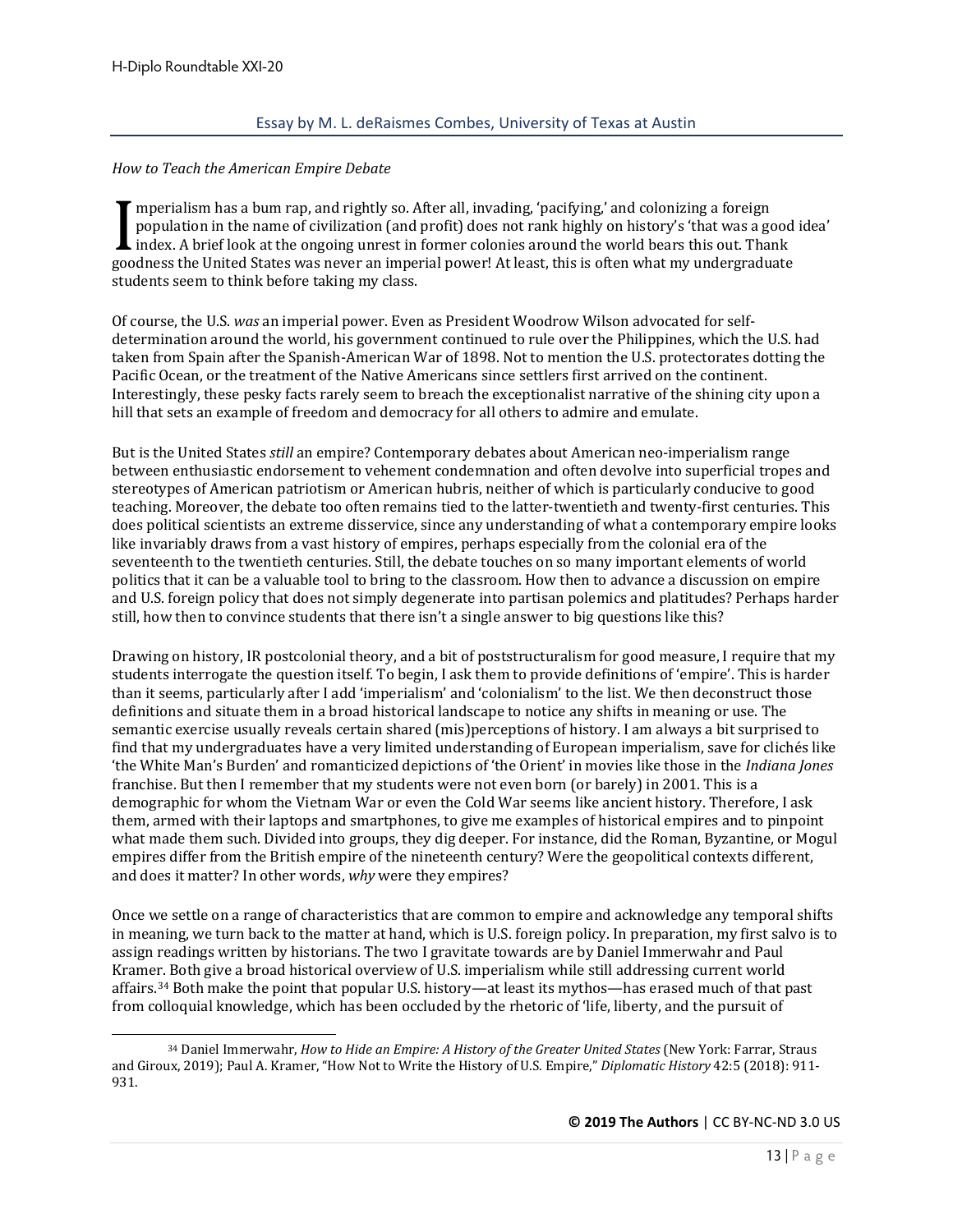#### <span id="page-12-0"></span>*How to Teach the American Empire Debate*

mperialism has a bum rap, and rightly so. After all, invading, 'pacifying,' and colonizing a foreign population in the name of civilization (and profit) does not rank highly on history's 'that was a good idea' index. A brief look at the ongoing unrest in former colonies around the world bears this out. Thank Imperialism has a bulli rap, and rightly so. After all, filvading, pachlying, and colonizing a loreign<br>population in the name of civilization (and profit) does not rank highly on history's 'that was a good<br>index. A brief l students seem to think before taking my class.

Of course, the U.S. *was* an imperial power. Even as President Woodrow Wilson advocated for selfdetermination around the world, his government continued to rule over the Philippines, which the U.S. had taken from Spain after the Spanish-American War of 1898. Not to mention the U.S. protectorates dotting the Pacific Ocean, or the treatment of the Native Americans since settlers first arrived on the continent. Interestingly, these pesky facts rarely seem to breach the exceptionalist narrative of the shining city upon a hill that sets an example of freedom and democracy for all others to admire and emulate.

But is the United States *still* an empire? Contemporary debates about American neo-imperialism range between enthusiastic endorsement to vehement condemnation and often devolve into superficial tropes and stereotypes of American patriotism or American hubris, neither of which is particularly conducive to good teaching. Moreover, the debate too often remains tied to the latter-twentieth and twenty-first centuries. This does political scientists an extreme disservice, since any understanding of what a contemporary empire looks like invariably draws from a vast history of empires, perhaps especially from the colonial era of the seventeenth to the twentieth centuries. Still, the debate touches on so many important elements of world politics that it can be a valuable tool to bring to the classroom. How then to advance a discussion on empire and U.S. foreign policy that does not simply degenerate into partisan polemics and platitudes? Perhaps harder still, how then to convince students that there isn't a single answer to big questions like this?

Drawing on history, IR postcolonial theory, and a bit of poststructuralism for good measure, I require that my students interrogate the question itself. To begin, I ask them to provide definitions of 'empire'. This is harder than it seems, particularly after I add 'imperialism' and 'colonialism' to the list. We then deconstruct those definitions and situate them in a broad historical landscape to notice any shifts in meaning or use. The semantic exercise usually reveals certain shared (mis)perceptions of history. I am always a bit surprised to find that my undergraduates have a very limited understanding of European imperialism, save for clichés like 'the White Man's Burden' and romanticized depictions of 'the Orient' in movies like those in the *Indiana Jones*  franchise. But then I remember that my students were not even born (or barely) in 2001. This is a demographic for whom the Vietnam War or even the Cold War seems like ancient history. Therefore, I ask them, armed with their laptops and smartphones, to give me examples of historical empires and to pinpoint what made them such. Divided into groups, they dig deeper. For instance, did the Roman, Byzantine, or Mogul empires differ from the British empire of the nineteenth century? Were the geopolitical contexts different, and does it matter? In other words, *why* were they empires?

Once we settle on a range of characteristics that are common to empire and acknowledge any temporal shifts in meaning, we turn back to the matter at hand, which is U.S. foreign policy. In preparation, my first salvo is to assign readings written by historians. The two I gravitate towards are by Daniel Immerwahr and Paul Kramer. Both give a broad historical overview of U.S. imperialism while still addressing current world affairs.[34](#page-12-1) Both make the point that popular U.S. history—at least its mythos—has erased much of that past from colloquial knowledge, which has been occluded by the rhetoric of 'life, liberty, and the pursuit of

<span id="page-12-1"></span><sup>34</sup> Daniel Immerwahr, *How to Hide an Empire: A History of the Greater United States* (New York: Farrar, Straus and Giroux, 2019); Paul A. Kramer, "How Not to Write the History of U.S. Empire," *Diplomatic History* 42:5 (2018): 911- 931.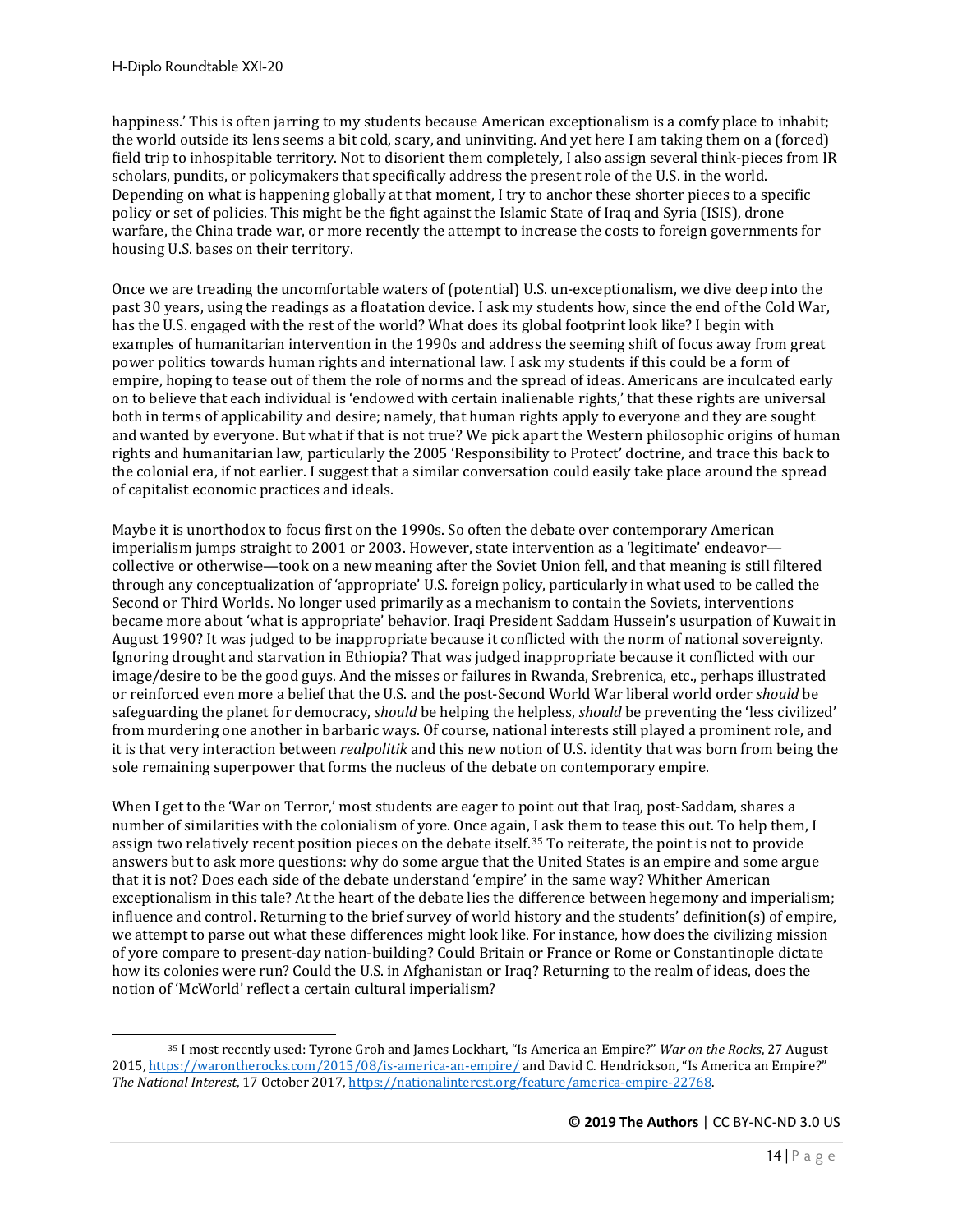happiness.' This is often jarring to my students because American exceptionalism is a comfy place to inhabit; the world outside its lens seems a bit cold, scary, and uninviting. And yet here I am taking them on a (forced) field trip to inhospitable territory. Not to disorient them completely, I also assign several think-pieces from IR scholars, pundits, or policymakers that specifically address the present role of the U.S. in the world. Depending on what is happening globally at that moment, I try to anchor these shorter pieces to a specific policy or set of policies. This might be the fight against the Islamic State of Iraq and Syria (ISIS), drone warfare, the China trade war, or more recently the attempt to increase the costs to foreign governments for housing U.S. bases on their territory.

Once we are treading the uncomfortable waters of (potential) U.S. un-exceptionalism, we dive deep into the past 30 years, using the readings as a floatation device. I ask my students how, since the end of the Cold War, has the U.S. engaged with the rest of the world? What does its global footprint look like? I begin with examples of humanitarian intervention in the 1990s and address the seeming shift of focus away from great power politics towards human rights and international law. I ask my students if this could be a form of empire, hoping to tease out of them the role of norms and the spread of ideas. Americans are inculcated early on to believe that each individual is 'endowed with certain inalienable rights,' that these rights are universal both in terms of applicability and desire; namely, that human rights apply to everyone and they are sought and wanted by everyone. But what if that is not true? We pick apart the Western philosophic origins of human rights and humanitarian law, particularly the 2005 'Responsibility to Protect' doctrine, and trace this back to the colonial era, if not earlier. I suggest that a similar conversation could easily take place around the spread of capitalist economic practices and ideals.

Maybe it is unorthodox to focus first on the 1990s. So often the debate over contemporary American imperialism jumps straight to 2001 or 2003. However, state intervention as a 'legitimate' endeavor collective or otherwise—took on a new meaning after the Soviet Union fell, and that meaning is still filtered through any conceptualization of 'appropriate' U.S. foreign policy, particularly in what used to be called the Second or Third Worlds. No longer used primarily as a mechanism to contain the Soviets, interventions became more about 'what is appropriate' behavior. Iraqi President Saddam Hussein's usurpation of Kuwait in August 1990? It was judged to be inappropriate because it conflicted with the norm of national sovereignty. Ignoring drought and starvation in Ethiopia? That was judged inappropriate because it conflicted with our image/desire to be the good guys. And the misses or failures in Rwanda, Srebrenica, etc., perhaps illustrated or reinforced even more a belief that the U.S. and the post-Second World War liberal world order *should* be safeguarding the planet for democracy, *should* be helping the helpless, *should* be preventing the 'less civilized' from murdering one another in barbaric ways. Of course, national interests still played a prominent role, and it is that very interaction between *realpolitik* and this new notion of U.S. identity that was born from being the sole remaining superpower that forms the nucleus of the debate on contemporary empire.

When I get to the 'War on Terror,' most students are eager to point out that Iraq, post-Saddam, shares a number of similarities with the colonialism of yore. Once again, I ask them to tease this out. To help them, I assign two relatively recent position pieces on the debate itself.<sup>[35](#page-13-0)</sup> To reiterate, the point is not to provide answers but to ask more questions: why do some argue that the United States is an empire and some argue that it is not? Does each side of the debate understand 'empire' in the same way? Whither American exceptionalism in this tale? At the heart of the debate lies the difference between hegemony and imperialism; influence and control. Returning to the brief survey of world history and the students' definition(s) of empire, we attempt to parse out what these differences might look like. For instance, how does the civilizing mission of yore compare to present-day nation-building? Could Britain or France or Rome or Constantinople dictate how its colonies were run? Could the U.S. in Afghanistan or Iraq? Returning to the realm of ideas, does the notion of 'McWorld' reflect a certain cultural imperialism?

<span id="page-13-0"></span><sup>35</sup> I most recently used: Tyrone Groh and James Lockhart, "Is America an Empire?" *War on the Rocks*, 27 August 2015,<https://warontherocks.com/2015/08/is-america-an-empire/> and David C. Hendrickson, "Is America an Empire?" *The National Interest*, 17 October 2017[, https://nationalinterest.org/feature/america-empire-22768.](https://nationalinterest.org/feature/america-empire-22768)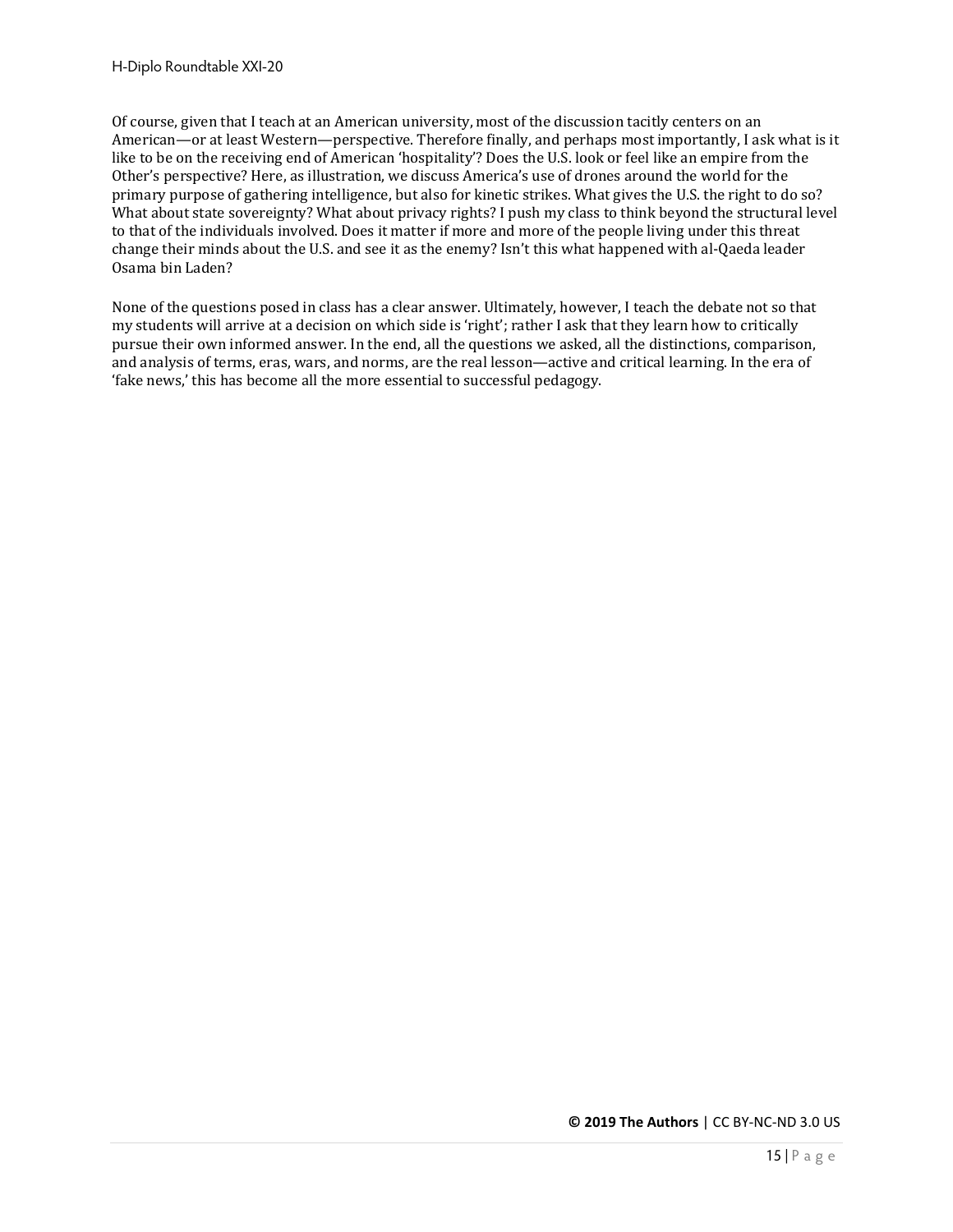Of course, given that I teach at an American university, most of the discussion tacitly centers on an American—or at least Western—perspective. Therefore finally, and perhaps most importantly, I ask what is it like to be on the receiving end of American 'hospitality'? Does the U.S. look or feel like an empire from the Other's perspective? Here, as illustration, we discuss America's use of drones around the world for the primary purpose of gathering intelligence, but also for kinetic strikes. What gives the U.S. the right to do so? What about state sovereignty? What about privacy rights? I push my class to think beyond the structural level to that of the individuals involved. Does it matter if more and more of the people living under this threat change their minds about the U.S. and see it as the enemy? Isn't this what happened with al-Qaeda leader Osama bin Laden?

None of the questions posed in class has a clear answer. Ultimately, however, I teach the debate not so that my students will arrive at a decision on which side is 'right'; rather I ask that they learn how to critically pursue their own informed answer. In the end, all the questions we asked, all the distinctions, comparison, and analysis of terms, eras, wars, and norms, are the real lesson—active and critical learning. In the era of 'fake news,' this has become all the more essential to successful pedagogy.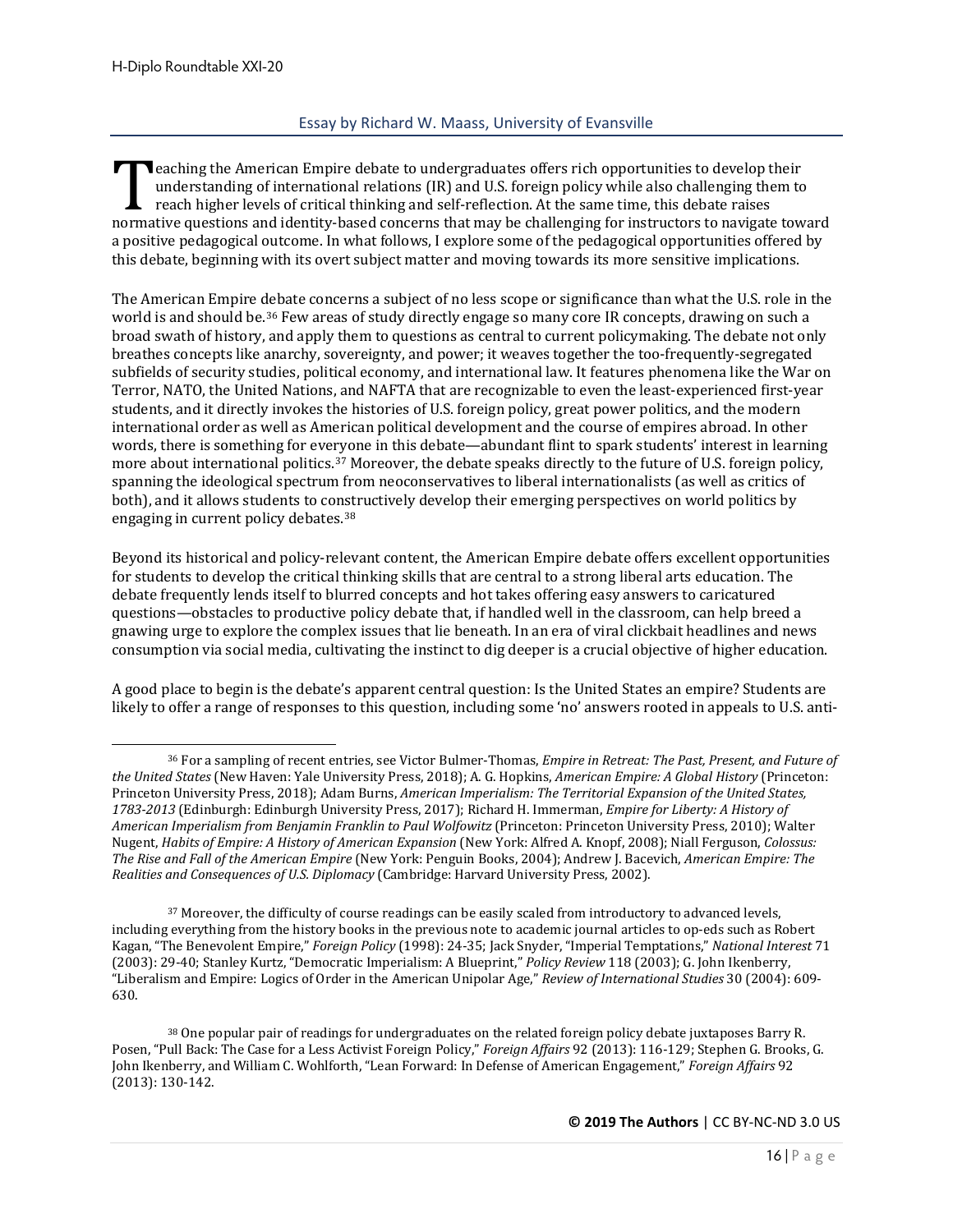#### Essay by Richard W. Maass, University of Evansville

<span id="page-15-0"></span> $\blacksquare$  eaching the American Empire debate to undergraduates offers rich opportunities to develop their understanding of international relations (IR) and U.S. foreign policy while also challenging them to reach higher levels of critical thinking and self-reflection. At the same time, this debate raises International relations (IR) and U.S. foreign policy while also challenging them to<br>reach higher levels of critical thinking and self-reflection. At the same time, this debate raises<br>normative questions and identity-based a positive pedagogical outcome. In what follows, I explore some of the pedagogical opportunities offered by this debate, beginning with its overt subject matter and moving towards its more sensitive implications.

The American Empire debate concerns a subject of no less scope or significance than what the U.S. role in the world is and should be.[36](#page-15-1) Few areas of study directly engage so many core IR concepts, drawing on such a broad swath of history, and apply them to questions as central to current policymaking. The debate not only breathes concepts like anarchy, sovereignty, and power; it weaves together the too-frequently-segregated subfields of security studies, political economy, and international law. It features phenomena like the War on Terror, NATO, the United Nations, and NAFTA that are recognizable to even the least-experienced first-year students, and it directly invokes the histories of U.S. foreign policy, great power politics, and the modern international order as well as American political development and the course of empires abroad. In other words, there is something for everyone in this debate—abundant flint to spark students' interest in learning more about international politics.[37](#page-15-2) Moreover, the debate speaks directly to the future of U.S. foreign policy, spanning the ideological spectrum from neoconservatives to liberal internationalists (as well as critics of both), and it allows students to constructively develop their emerging perspectives on world politics by engaging in current policy debates[.38](#page-15-3)

Beyond its historical and policy-relevant content, the American Empire debate offers excellent opportunities for students to develop the critical thinking skills that are central to a strong liberal arts education. The debate frequently lends itself to blurred concepts and hot takes offering easy answers to caricatured questions—obstacles to productive policy debate that, if handled well in the classroom, can help breed a gnawing urge to explore the complex issues that lie beneath. In an era of viral clickbait headlines and news consumption via social media, cultivating the instinct to dig deeper is a crucial objective of higher education.

A good place to begin is the debate's apparent central question: Is the United States an empire? Students are likely to offer a range of responses to this question, including some 'no' answers rooted in appeals to U.S. anti-

<span id="page-15-1"></span><sup>36</sup> For a sampling of recent entries, see Victor Bulmer-Thomas, *Empire in Retreat: The Past, Present, and Future of the United States* (New Haven: Yale University Press, 2018); A. G. Hopkins, *American Empire: A Global History* (Princeton: Princeton University Press, 2018); Adam Burns, *American Imperialism: The Territorial Expansion of the United States, 1783-2013* (Edinburgh: Edinburgh University Press, 2017); Richard H. Immerman, *Empire for Liberty: A History of American Imperialism from Benjamin Franklin to Paul Wolfowitz* (Princeton: Princeton University Press, 2010); Walter Nugent, *Habits of Empire: A History of American Expansion* (New York: Alfred A. Knopf, 2008); Niall Ferguson, *Colossus: The Rise and Fall of the American Empire* (New York: Penguin Books, 2004); Andrew J. Bacevich, *American Empire: The Realities and Consequences of U.S. Diplomacy* (Cambridge: Harvard University Press, 2002).

<span id="page-15-2"></span><sup>&</sup>lt;sup>37</sup> Moreover, the difficulty of course readings can be easily scaled from introductory to advanced levels, including everything from the history books in the previous note to academic journal articles to op-eds such as Robert Kagan, "The Benevolent Empire," *Foreign Policy* (1998): 24-35; Jack Snyder, "Imperial Temptations," *National Interest* 71 (2003): 29-40; Stanley Kurtz, "Democratic Imperialism: A Blueprint," *Policy Review* 118 (2003); G. John Ikenberry, "Liberalism and Empire: Logics of Order in the American Unipolar Age," *Review of International Studies* 30 (2004): 609- 630.

<span id="page-15-3"></span><sup>38</sup> One popular pair of readings for undergraduates on the related foreign policy debate juxtaposes Barry R. Posen, "Pull Back: The Case for a Less Activist Foreign Policy," *Foreign Affairs* 92 (2013): 116-129; Stephen G. Brooks, G. John Ikenberry, and William C. Wohlforth, "Lean Forward: In Defense of American Engagement," *Foreign Affairs* 92 (2013): 130-142.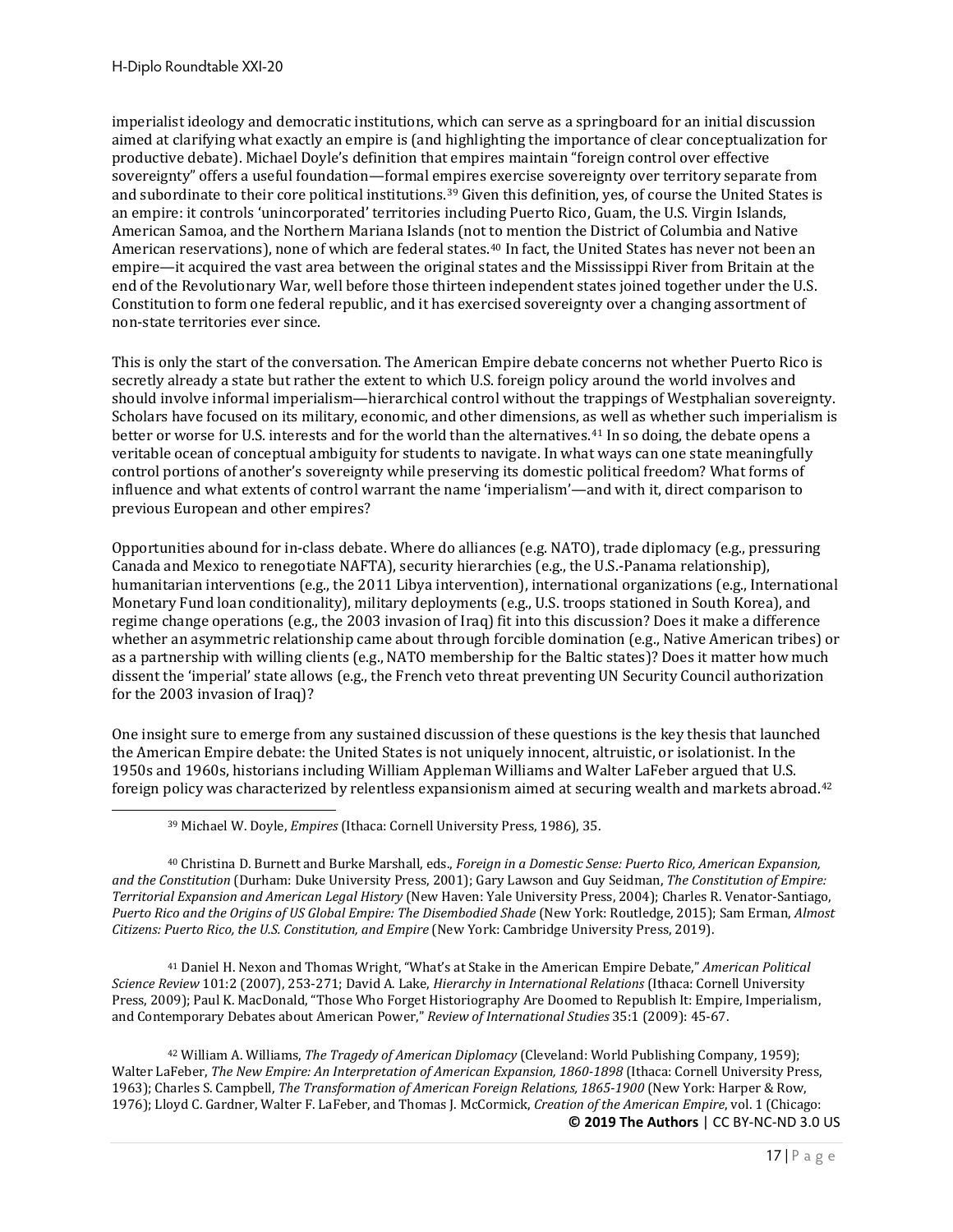imperialist ideology and democratic institutions, which can serve as a springboard for an initial discussion aimed at clarifying what exactly an empire is (and highlighting the importance of clear conceptualization for productive debate). Michael Doyle's definition that empires maintain "foreign control over effective sovereignty" offers a useful foundation—formal empires exercise sovereignty over territory separate from and subordinate to their core political institutions.[39](#page-16-0) Given this definition, yes, of course the United States is an empire: it controls 'unincorporated' territories including Puerto Rico, Guam, the U.S. Virgin Islands, American Samoa, and the Northern Mariana Islands (not to mention the District of Columbia and Native American reservations), none of which are federal states.<sup>[40](#page-16-1)</sup> In fact, the United States has never not been an empire—it acquired the vast area between the original states and the Mississippi River from Britain at the end of the Revolutionary War, well before those thirteen independent states joined together under the U.S. Constitution to form one federal republic, and it has exercised sovereignty over a changing assortment of non-state territories ever since.

This is only the start of the conversation. The American Empire debate concerns not whether Puerto Rico is secretly already a state but rather the extent to which U.S. foreign policy around the world involves and should involve informal imperialism—hierarchical control without the trappings of Westphalian sovereignty. Scholars have focused on its military, economic, and other dimensions, as well as whether such imperialism is better or worse for U.S. interests and for the world than the alternatives.<sup>[41](#page-16-2)</sup> In so doing, the debate opens a veritable ocean of conceptual ambiguity for students to navigate. In what ways can one state meaningfully control portions of another's sovereignty while preserving its domestic political freedom? What forms of influence and what extents of control warrant the name 'imperialism'—and with it, direct comparison to previous European and other empires?

Opportunities abound for in-class debate. Where do alliances (e.g. NATO), trade diplomacy (e.g., pressuring Canada and Mexico to renegotiate NAFTA), security hierarchies (e.g., the U.S.-Panama relationship), humanitarian interventions (e.g., the 2011 Libya intervention), international organizations (e.g., International Monetary Fund loan conditionality), military deployments (e.g., U.S. troops stationed in South Korea), and regime change operations (e.g., the 2003 invasion of Iraq) fit into this discussion? Does it make a difference whether an asymmetric relationship came about through forcible domination (e.g., Native American tribes) or as a partnership with willing clients (e.g., NATO membership for the Baltic states)? Does it matter how much dissent the 'imperial' state allows (e.g., the French veto threat preventing UN Security Council authorization for the 2003 invasion of Iraq)?

One insight sure to emerge from any sustained discussion of these questions is the key thesis that launched the American Empire debate: the United States is not uniquely innocent, altruistic, or isolationist. In the 1950s and 1960s, historians including William Appleman Williams and Walter LaFeber argued that U.S. foreign policy was characterized by relentless expansionism aimed at securing wealth and markets abroad.[42](#page-16-3)

<span id="page-16-1"></span><span id="page-16-0"></span><sup>40</sup> Christina D. Burnett and Burke Marshall, eds., *Foreign in a Domestic Sense: Puerto Rico, American Expansion, and the Constitution* (Durham: Duke University Press, 2001); Gary Lawson and Guy Seidman, *The Constitution of Empire: Territorial Expansion and American Legal History* (New Haven: Yale University Press, 2004); Charles R. Venator-Santiago, *Puerto Rico and the Origins of US Global Empire: The Disembodied Shade* (New York: Routledge, 2015); Sam Erman, *Almost Citizens: Puerto Rico, the U.S. Constitution, and Empire* (New York: Cambridge University Press, 2019).

<span id="page-16-2"></span><sup>41</sup> Daniel H. Nexon and Thomas Wright, "What's at Stake in the American Empire Debate," *American Political Science Review* 101:2 (2007), 253-271; David A. Lake, *Hierarchy in International Relations* (Ithaca: Cornell University Press, 2009); Paul K. MacDonald, "Those Who Forget Historiography Are Doomed to Republish It: Empire, Imperialism, and Contemporary Debates about American Power," *Review of International Studies* 35:1 (2009): 45-67.

<span id="page-16-3"></span>**© 2019 The Authors** | CC BY-NC-ND 3.0 US <sup>42</sup> William A. Williams, *The Tragedy of American Diplomacy* (Cleveland: World Publishing Company, 1959); Walter LaFeber, *The New Empire: An Interpretation of American Expansion, 1860-1898* (Ithaca: Cornell University Press, 1963); Charles S. Campbell, *The Transformation of American Foreign Relations, 1865-1900* (New York: Harper & Row, 1976); Lloyd C. Gardner, Walter F. LaFeber, and Thomas J. McCormick, *Creation of the American Empire*, vol. 1 (Chicago:

<sup>39</sup> Michael W. Doyle, *Empires* (Ithaca: Cornell University Press, 1986), 35.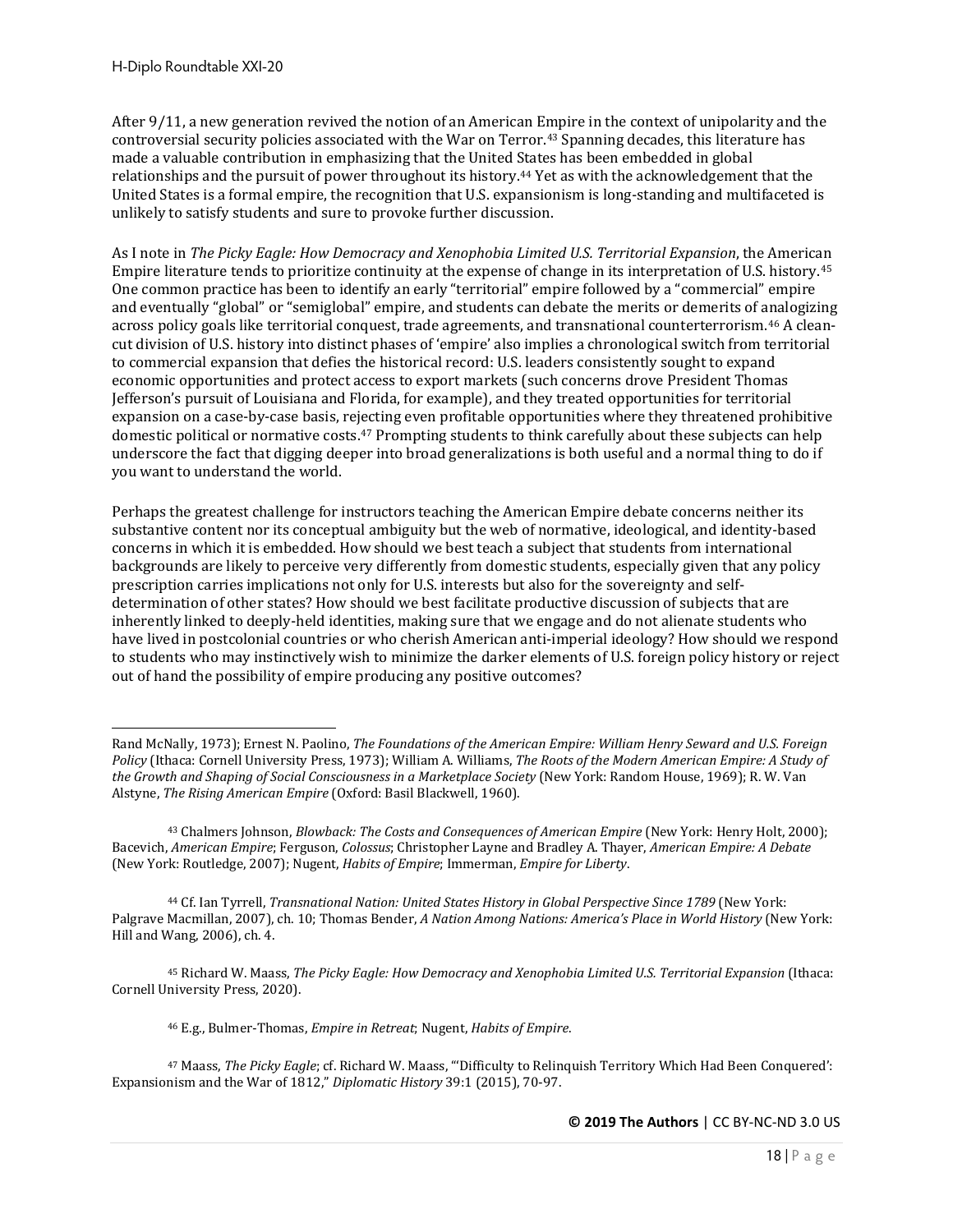After 9/11, a new generation revived the notion of an American Empire in the context of unipolarity and the controversial security policies associated with the War on Terror.[43](#page-17-0) Spanning decades, this literature has made a valuable contribution in emphasizing that the United States has been embedded in global relationships and the pursuit of power throughout its history.[44](#page-17-1) Yet as with the acknowledgement that the United States is a formal empire, the recognition that U.S. expansionism is long-standing and multifaceted is unlikely to satisfy students and sure to provoke further discussion.

As I note in *The Picky Eagle: How Democracy and Xenophobia Limited U.S. Territorial Expansion*, the American Empire literature tends to prioritize continuity at the expense of change in its interpretation of U.S. history.[45](#page-17-2) One common practice has been to identify an early "territorial" empire followed by a "commercial" empire and eventually "global" or "semiglobal" empire, and students can debate the merits or demerits of analogizing across policy goals like territorial conquest, trade agreements, and transnational counterterrorism.[46](#page-17-3) A cleancut division of U.S. history into distinct phases of 'empire' also implies a chronological switch from territorial to commercial expansion that defies the historical record: U.S. leaders consistently sought to expand economic opportunities and protect access to export markets (such concerns drove President Thomas Jefferson's pursuit of Louisiana and Florida, for example), and they treated opportunities for territorial expansion on a case-by-case basis, rejecting even profitable opportunities where they threatened prohibitive domestic political or normative costs.<sup>[47](#page-17-4)</sup> Prompting students to think carefully about these subjects can help underscore the fact that digging deeper into broad generalizations is both useful and a normal thing to do if you want to understand the world.

Perhaps the greatest challenge for instructors teaching the American Empire debate concerns neither its substantive content nor its conceptual ambiguity but the web of normative, ideological, and identity-based concerns in which it is embedded. How should we best teach a subject that students from international backgrounds are likely to perceive very differently from domestic students, especially given that any policy prescription carries implications not only for U.S. interests but also for the sovereignty and selfdetermination of other states? How should we best facilitate productive discussion of subjects that are inherently linked to deeply-held identities, making sure that we engage and do not alienate students who have lived in postcolonial countries or who cherish American anti-imperial ideology? How should we respond to students who may instinctively wish to minimize the darker elements of U.S. foreign policy history or reject out of hand the possibility of empire producing any positive outcomes?

<span id="page-17-2"></span><sup>45</sup> Richard W. Maass, *The Picky Eagle: How Democracy and Xenophobia Limited U.S. Territorial Expansion* (Ithaca: Cornell University Press, 2020).

<sup>46</sup> E.g., Bulmer-Thomas, *Empire in Retreat*; Nugent, *Habits of Empire*.

<span id="page-17-4"></span><span id="page-17-3"></span><sup>47</sup> Maass, *The Picky Eagle*; cf. Richard W. Maass, "'Difficulty to Relinquish Territory Which Had Been Conquered': Expansionism and the War of 1812," *Diplomatic History* 39:1 (2015), 70-97.

Rand McNally, 1973); Ernest N. Paolino, *The Foundations of the American Empire: William Henry Seward and U.S. Foreign Policy* (Ithaca: Cornell University Press, 1973); William A. Williams, *The Roots of the Modern American Empire: A Study of the Growth and Shaping of Social Consciousness in a Marketplace Society* (New York: Random House, 1969); R. W. Van Alstyne, *The Rising American Empire* (Oxford: Basil Blackwell, 1960).

<span id="page-17-0"></span><sup>43</sup> Chalmers Johnson, *Blowback: The Costs and Consequences of American Empire* (New York: Henry Holt, 2000); Bacevich, *American Empire*; Ferguson, *Colossus*; Christopher Layne and Bradley A. Thayer, *American Empire: A Debate* (New York: Routledge, 2007); Nugent, *Habits of Empire*; Immerman, *Empire for Liberty*.

<span id="page-17-1"></span><sup>44</sup> Cf. Ian Tyrrell, *Transnational Nation: United States History in Global Perspective Since 1789* (New York: Palgrave Macmillan, 2007), ch. 10; Thomas Bender, *A Nation Among Nations: America's Place in World History* (New York: Hill and Wang, 2006), ch. 4.